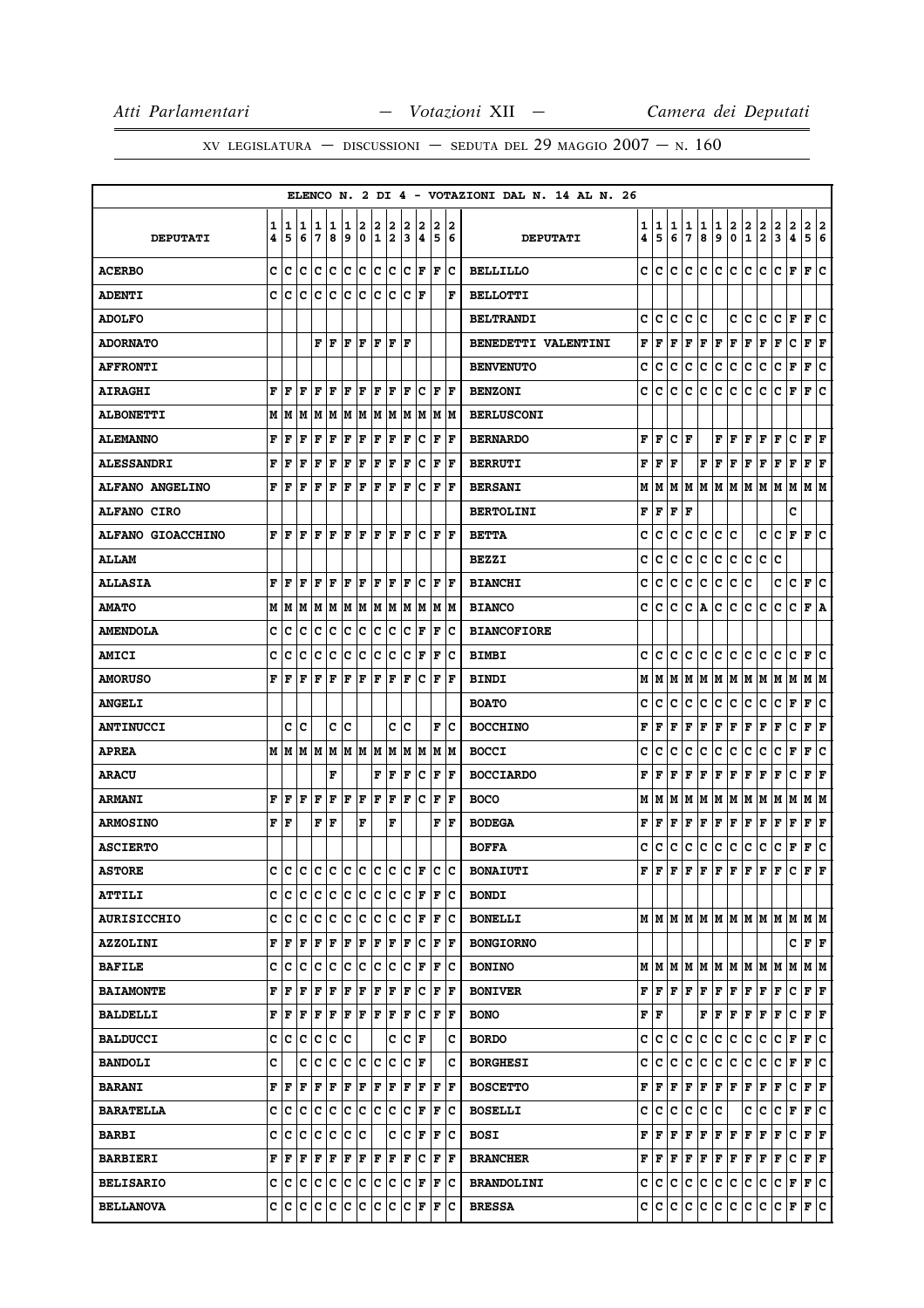|                          |        |        |                 |                           |        |        |                  |        |                       |        |                      |        |         | ELENCO N. 2 DI 4 - VOTAZIONI DAL N. 14 AL N. 26 |        |                                           |        |        |        |                      |               |                                        |                                                           |                      |                     |                      |     |
|--------------------------|--------|--------|-----------------|---------------------------|--------|--------|------------------|--------|-----------------------|--------|----------------------|--------|---------|-------------------------------------------------|--------|-------------------------------------------|--------|--------|--------|----------------------|---------------|----------------------------------------|-----------------------------------------------------------|----------------------|---------------------|----------------------|-----|
| <b>DEPUTATI</b>          | 1<br>4 | 1<br>5 | 11<br>6         | 1<br>7                    | 1<br>8 | 1<br>9 | 2<br>$\mathbf 0$ | 2<br>1 | 2<br>2                | 2<br>3 | 2<br>4               | 2<br>5 | 12<br>6 | <b>DEPUTATI</b>                                 | 1<br>4 | 1<br>5                                    | 1<br>6 | 1<br>7 | 1<br>8 | 1<br>9               | 2<br>0        | $\overline{\mathbf{2}}$<br>$\mathbf 1$ | $\frac{2}{2}$                                             | 2<br>3               | $\overline{a}$<br>4 | 2 2<br>5 6           |     |
| <b>ACERBO</b>            | c      | c      | lc              | lc.                       | c      | lc.    | c                | lc.    | c                     |        | $ {\bf C}\>  $ F     | l F    | Iс      | <b>BELLILLO</b>                                 | c      | c                                         | c      | c      | IC.    | c                    | c             | C                                      | c                                                         | $ {\bf C}  {\bf F} $ |                     | F C                  |     |
| <b>ADENTI</b>            | C      | Iс     | c               | Ιc                        | Ιc     | Ιc     | ١c               | Ιc     | Iс                    | lc.    | F                    |        | F       | <b>BELLOTTI</b>                                 |        |                                           |        |        |        |                      |               |                                        |                                                           |                      |                     |                      |     |
| <b>ADOLFO</b>            |        |        |                 |                           |        |        |                  |        |                       |        |                      |        |         | <b>BELTRANDI</b>                                | c      | c                                         | c      | c      | c      |                      | c             | c                                      | c                                                         | c                    | F                   | F                    | C   |
| <b>ADORNATO</b>          |        |        |                 |                           |        |        |                  |        | F   F   F   F   F   F |        |                      |        |         | <b>BENEDETTI VALENTINI</b>                      | F      | F                                         | F      |        | F F F  |                      | F             | F                                      | F                                                         | F                    | c                   | $ {\bf F}  {\bf F} $ |     |
| <b>AFFRONTI</b>          |        |        |                 |                           |        |        |                  |        |                       |        |                      |        |         | <b>BENVENUTO</b>                                | c      | c                                         | с      | c      | с      | c                    | c             | с                                      | c                                                         | с                    | F                   | F                    | Iс  |
| <b>AIRAGHI</b>           | F      | l F    | l F             | lF.                       | ١F     | F      | lF.              |        | $ {\bf F}  {\bf F} $  | lF.    | Iс                   | F      | ١F      | <b>BENZONI</b>                                  | c      | c                                         | c      | c      | c      | c                    | c             | c                                      | c                                                         | c                    | F                   | F C                  |     |
| <b>ALBONETTI</b>         |        | MИ     | M               | lм                        | M      | M      | M                | M      | M                     | M      | M                    | М      | lм      | <b>BERLUSCONI</b>                               |        |                                           |        |        |        |                      |               |                                        |                                                           |                      |                     |                      |     |
| <b>ALEMANNO</b>          | F      | F      | F               | F                         | F      | F      | F                | F      | F                     | F      | Ιc                   | F      | F       | <b>BERNARDO</b>                                 | F      | l F                                       | c      | l F    |        | F                    | F             | F                                      | F                                                         | F                    | c                   | ${\bf F}$ ${\bf F}$  |     |
| <b>ALESSANDRI</b>        | F      | F      | F               | F                         | F      | F      | F                | F      | F                     | F      | Ιc                   | F      | l F     | <b>BERRUTI</b>                                  | F      | F                                         | F      |        | F      | $\mathbf F$          | F             | F                                      | F                                                         | F                    | F                   | F F                  |     |
| ALFANO ANGELINO          | F      | ١F     | F               | F                         | l F    | F      | F                | ΙF     | F                     | ΙF     | c                    | F      | l F     | <b>BERSANI</b>                                  | М      | M                                         | М      | lм     | M      | M                    | lм            |                                        | MMMM                                                      |                      |                     | M  M                 |     |
| <b>ALFANO CIRO</b>       |        |        |                 |                           |        |        |                  |        |                       |        |                      |        |         | <b>BERTOLINI</b>                                | F      | F                                         | F      | l F    |        |                      |               |                                        |                                                           |                      | C                   |                      |     |
| <b>ALFANO GIOACCHINO</b> | F      | F      | F               | F                         | l F    | F      | F                | ΙF     | F                     | F      | c                    | F      | F       | <b>BETTA</b>                                    | c      | c                                         | c      | c      | с      | c                    | с             |                                        | c                                                         | c                    | F                   | F                    | Iс  |
| <b>ALLAM</b>             |        |        |                 |                           |        |        |                  |        |                       |        |                      |        |         | <b>BEZZI</b>                                    | c      | c                                         | c      | c      | c      | c                    | c.            | c                                      | c                                                         | c                    |                     |                      |     |
| <b>ALLASIA</b>           | F      | F      | l F             | F                         | l F    | F      | ΙF               | F      | F                     | l F    | Ιc                   | l F    | ١F      | <b>BIANCHI</b>                                  | c      | c                                         | c      | c      | с      | c                    | c             | c                                      |                                                           | c                    | $\mathbf C$         | F                    | ١c  |
| <b>AMATO</b>             | М      | M      | M               | M                         | M      | M      | M                |        | M M                   | M      | M                    |        | IM IM   | <b>BIANCO</b>                                   | c      | c                                         | c      | c      | A      | c                    | c             | с                                      | c                                                         | c                    | c                   | F A                  |     |
| <b>AMENDOLA</b>          | c      | с      | c               | с                         | c      | c      | ∣c               | c      | Iс                    | lc.    | F                    | F      | Ιc      | <b>BIANCOFIORE</b>                              |        |                                           |        |        |        |                      |               |                                        |                                                           |                      |                     |                      |     |
| <b>AMICI</b>             | c      | с      | c               | Iс                        | Ιc     | c      | c                | c      | c                     | c      | F                    | F      | Ιc      | <b>BIMBI</b>                                    | c      | c                                         | c      | c      | c      | c                    | c             | c                                      | c                                                         | с                    | c                   | F                    | Iс  |
| <b>AMORUSO</b>           | F      | F      | l F             | F                         | F      | F      | F                | F      | F                     | F      | lc.                  | F      | lF.     | <b>BINDI</b>                                    | М      | M                                         | M      | M      |        |                      | M  M  M  M  M |                                        |                                                           | M M                  |                     | M  M                 |     |
| <b>ANGELI</b>            |        |        |                 |                           |        |        |                  |        |                       |        |                      |        |         | <b>BOATO</b>                                    | c      | c                                         | с      | c      | c      | c                    | c             | c                                      | с                                                         | с                    | F                   | F                    | c   |
| <b>ANTINUCCI</b>         |        | c      | Ιc              |                           | c      | Ιc     |                  |        | c                     | lc     |                      | F      | Ιc      | <b>BOCCHINO</b>                                 | F      | F                                         | F      | F      | F      | F                    | F             | F                                      | F                                                         | F                    | c                   | $ {\bf F}  {\bf F} $ |     |
| <b>APREA</b>             |        |        | M   M   M       |                           | M      |        |                  | M M M  | lм                    | M      | lМ                   |        | M  M    | <b>BOCCI</b>                                    | c      | c                                         | c      | c      | с      | c                    | c             | с                                      | c                                                         | c                    | F                   | F                    | lc. |
| <b>ARACU</b>             |        |        |                 |                           | F      |        |                  | F      | F                     | F      | Ιc                   | F      | l F     | <b>BOCCIARDO</b>                                | F      | F                                         | F      | F      | F      | $\mathbf F$          | F             | F                                      | F                                                         | F                    | с                   | F                    | F   |
| <b>ARMANI</b>            | F      | l F    | F               | F                         | F      | F      | F                | F      | F                     | F      | Ιc                   | F      | l F     | <b>BOCO</b>                                     | М      | M                                         | lМ     |        |        | M   M   M   M        |               | M M                                    |                                                           | MM                   |                     | M  M                 |     |
| <b>ARMOSINO</b>          | F      | ١F     |                 | F                         | F      |        | F                |        | F                     |        |                      | F      | lF.     | <b>BODEGA</b>                                   | F      | F                                         | F      | F      | F      | $\mathbf F$          | F             | F                                      | F                                                         | F                    | F                   | F                    | F   |
| <b>ASCIERTO</b>          |        |        |                 |                           |        |        |                  |        |                       |        |                      |        |         | <b>BOFFA</b>                                    | c      | c                                         | c      | c      | с      | c                    | c             | с                                      | с                                                         | c                    | F                   | F                    | c   |
| <b>ASTORE</b>            | c      | Iс     |                 | c  c  c  c  c  c  c  c  F |        |        |                  |        |                       |        |                      | lc.    | lc.     | <b>BONAIUTI</b>                                 | F      | l F                                       | F      | lF.    | F      | F                    | F             | F                                      | F                                                         | F                    | c                   | F                    | l F |
| <b>ATTILI</b>            |        | c  c   | ∣c              | c c                       |        | c c    |                  | c      | c                     | c      | F                    | F      | Ιc      | <b>BONDI</b>                                    |        |                                           |        |        |        |                      |               |                                        |                                                           |                      |                     |                      |     |
| <b>AURISICCHIO</b>       |        | c  c   | c               | lc.                       | c      | c c    |                  | lc.    | Iс                    | lc.    | F                    | F      | Ιc      | <b>BONELLI</b>                                  |        |                                           |        |        |        |                      |               |                                        | MMMMMMMMMMMMMM                                            |                      |                     |                      |     |
| <b>AZZOLINI</b>          |        | F  F   | F               | F                         | F      | F      | F                | F      | F                     | F      | Iс                   | F      | ١F      | <b>BONGIORNO</b>                                |        |                                           |        |        |        |                      |               |                                        |                                                           |                      | C  F  F             |                      |     |
| <b>BAFILE</b>            | c      | ∣c     | c               | ∣c                        | c      | c      | c                | c      | c                     | lc.    | F                    | F      | ∣c      | <b>BONINO</b>                                   |        |                                           |        |        |        |                      |               |                                        | $M$   $M$   $M$   $M$   $M$   $M$   $M$   $M$   $M$   $M$ |                      |                     | M   M                |     |
| <b>BAIAMONTE</b>         | F      | l F    | l F             | F                         | F      | F      | F                | F      | F                     | F      | Iс                   | F      | lF.     | <b>BONIVER</b>                                  |        | FF                                        | F F    |        | F      | F                    | F             | F                                      | F                                                         | F                    | Iс                  | F F                  |     |
| <b>BALDELLI</b>          |        | FF     | ΙF              | $F$ $F$ $F$ $F$ $F$ $F$   |        |        |                  |        |                       | F      | Ιc                   | F      | F       | <b>BONO</b>                                     |        | ${\bf F} \mid {\bf F}$                    |        |        | F      | F                    | F             | F F                                    |                                                           | F                    | c                   | $ {\bf F}  {\bf F} $ |     |
| <b>BALDUCCI</b>          | c      | c      | c               | ∣c                        | c      | c      |                  |        | c                     | Iс     | F                    |        | c       | <b>BORDO</b>                                    | c      | c                                         | c      | c      | c      | c                    | c             | c                                      | c                                                         | c                    | F                   | F C                  |     |
| <b>BANDOLI</b>           | C      |        | c               | c                         | ∣c     | c      | $ {\bf c} $      | c      | c                     | c      | lF.                  |        | c       | <b>BORGHESI</b>                                 | c      | c.                                        | c      | c      | c      | c                    | c.            | c.                                     | c                                                         | c                    | F                   | F C                  |     |
| <b>BARANI</b>            |        | F  F   | F               | F                         | F F    |        | F                | F      | F                     | lF.    | ١F                   | F      | ١F      | <b>BOSCETTO</b>                                 | F      | F                                         | F      |        | F F    | F                    | F             | F                                      | F                                                         | F                    | Iс                  | F F                  |     |
| <b>BARATELLA</b>         |        | c  c   | lc.             | Ιc                        | Iс     | c      | IC.              | Ιc     | Iс                    | Iс     | F                    | F      | Iс      | <b>BOSELLI</b>                                  | c      | c                                         | c      | c      | c      | c                    |               | c                                      | c                                                         | c                    | F                   | F C                  |     |
| <b>BARBI</b>             |        | c c    | ∣c              | c c                       |        | c c    |                  |        | c                     | c      | F                    | F      | ∣c      | <b>BOSI</b>                                     | F      | F F                                       |        | F      | F      | $ {\bf F}  {\bf F} $ |               | F F                                    |                                                           | F                    | lc.                 | F F                  |     |
| <b>BARBIERI</b>          |        | f   F  | F               | F F                       |        | F      | F                | İΕ     | F                     | F      | Iс                   | F      | F       | <b>BRANCHER</b>                                 |        | ${\bf F} \,   \, {\bf F} \,   \, {\bf F}$ |        | F      | F      | F                    | F             | F                                      | F                                                         | F                    | c                   | $ {\bf F}  {\bf F} $ |     |
| <b>BELISARIO</b>         |        |        | c c c c c c c c |                           |        |        |                  | c c    |                       |        | $ {\bf C}  {\bf F} $ | F      | ΙC      | <b>BRANDOLINI</b>                               | c      | c c                                       |        | c      | c      | c                    | c             | c.                                     | c                                                         | C                    | F                   | F C                  |     |
| <b>BELLANOVA</b>         |        | c c    | c c c c         |                           |        |        | c                | ∣c     | c                     | c      | F                    | F      | ∣c      | <b>BRESSA</b>                                   |        | c c c                                     |        | c      | c      | c.                   | c             | c                                      | c                                                         | c                    | F                   | F C                  |     |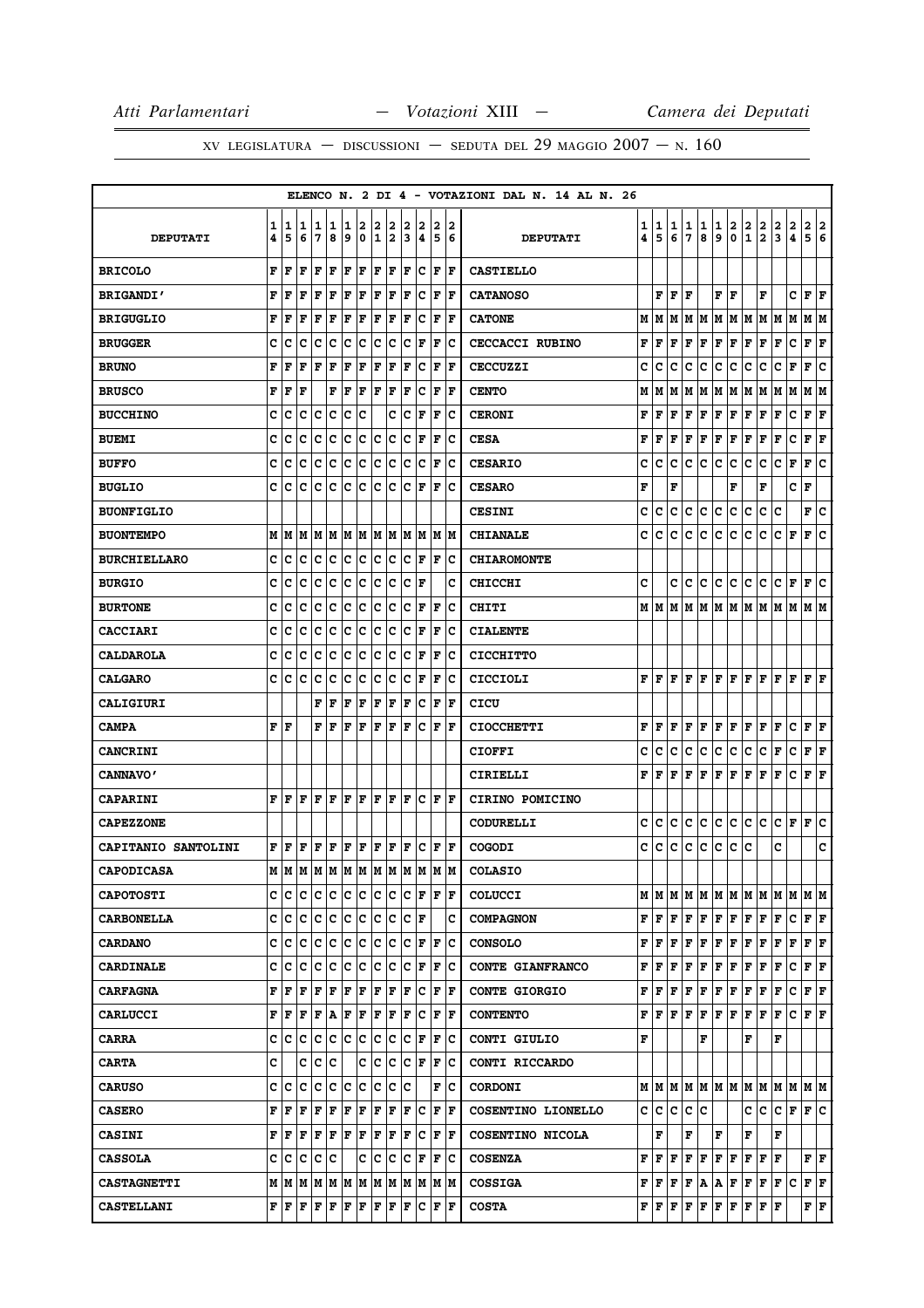|                            |        |        |                                    |        |             |        |        |                   |        |        |        |             |                      | ELENCO N. 2 DI 4 - VOTAZIONI DAL N. 14 AL N. 26 |                   |                                                        |        |        |        |                      |        |                                |               |                         |        |                             |        |
|----------------------------|--------|--------|------------------------------------|--------|-------------|--------|--------|-------------------|--------|--------|--------|-------------|----------------------|-------------------------------------------------|-------------------|--------------------------------------------------------|--------|--------|--------|----------------------|--------|--------------------------------|---------------|-------------------------|--------|-----------------------------|--------|
| <b>DEPUTATI</b>            | 1<br>4 | 1<br>5 | 1<br>6                             | 1<br>7 | 1<br>8      | 1<br>9 | 2<br>0 | 2<br>$\mathbf{1}$ | 2<br>2 | 2<br>3 | 2<br>4 | 2<br>5      | 2<br>6               | <b>DEPUTATI</b>                                 | $\mathbf{1}$<br>4 | 1<br>5                                                 | 1<br>6 | 1<br>7 | 1<br>8 | 1<br>9               | 2<br>0 | 2<br>$\mathbf{1}$              | $\frac{2}{2}$ | 2<br>3                  | 2<br>4 | 2<br>5                      | 2<br>6 |
| <b>BRICOLO</b>             | F      | F      | F                                  | F      | F           | F      | F      | F                 | F      | F      | c      | F           | F                    | <b>CASTIELLO</b>                                |                   |                                                        |        |        |        |                      |        |                                |               |                         |        |                             |        |
| <b>BRIGANDI'</b>           | F      | F      | F                                  | F      | $\mathbf F$ | F      | F      | F                 | F      | F      | c      | F           | l F                  | <b>CATANOSO</b>                                 |                   | F                                                      | F      | ΙF     |        | F                    | ΙF     |                                | F             |                         | c      | F                           | lF     |
| <b>BRIGUGLIO</b>           | F      | F      | F                                  | F      | $\mathbf F$ | F      | F      | F                 | F      | F      | c      | $\mathbf F$ | F                    | <b>CATONE</b>                                   | м                 | lМ                                                     |        | M M    | M      |                      |        | M   M   M   M                  |               |                         | lМ     | M  M                        |        |
| <b>BRUGGER</b>             | c      | с      | c                                  | с      | c           | c      | c      | c                 | c      | c      | F      | F           | Ιc                   | CECCACCI RUBINO                                 | F                 | F                                                      | F      | F      | F      | F                    | F      | F                              | F             | F                       | c      | ${\bf F}$ ${\bf F}$         |        |
| <b>BRUNO</b>               | F      | F      | F                                  | F      | F           | F      | F      | F                 | F      | F      | с      | F           | ΙF                   | <b>CECCUZZI</b>                                 | c                 | c                                                      | c      | c      | c      | c                    | c      | c                              | c             | с                       | F      | F                           | c      |
| <b>BRUSCO</b>              | F      | F      | ΙF                                 |        | F           | F      | F      | F                 | F      | F      | c      | F           | F                    | <b>CENTO</b>                                    | M                 | M                                                      | M      | M      | M      |                      |        |                                |               | M  M  M  M  M  M        |        | M  M                        |        |
| <b>BUCCHINO</b>            | c      | c      | c                                  | с      | c           | с      | c      |                   | c      | c      | F      | F           | Iс                   | <b>CERONI</b>                                   | F                 | F                                                      | F      | F      | F      | F                    | F      | F                              | F             | F                       | c      | F                           | F      |
| <b>BUEMI</b>               | c      | c      | c                                  | c      | c           | c      | c      | c                 | c      | c      | F      | F           | Ιc                   | <b>CESA</b>                                     | F                 | F                                                      | F      | F      | Г      | F                    | F      | Г                              | F             | F                       | c      | ${\bf F} \mid {\bf F}$      |        |
| <b>BUFFO</b>               | C      | c      | c                                  | c      | c           | c      | c      | c                 | c      | c      | c      | F           | Ιc                   | <b>CESARIO</b>                                  | c                 | c                                                      | c      | с      | с      | c                    | c      | c                              | с             | с                       | F      | F                           | c      |
| <b>BUGLIO</b>              | C      | c      | c                                  | c      | c           | с      | c      | c                 | c      | c      | F      | ΙF          | Ιc                   | <b>CESARO</b>                                   | F                 |                                                        | F      |        |        |                      | F      |                                | F             |                         | c      | F                           |        |
| <b>BUONFIGLIO</b>          |        |        |                                    |        |             |        |        |                   |        |        |        |             |                      | <b>CESINI</b>                                   | с                 | c                                                      | c      | c      | c      | c                    | c      | c                              | c             | Iс                      |        | F∣C                         |        |
| <b>BUONTEMPO</b>           | М      | M      | M                                  | M      | M           | M      | M      | IМ                | M      | M      | M      | lм          | IМ                   | <b>CHIANALE</b>                                 | с                 | c                                                      | с      | с      | c      | c                    | c      | c                              | с             | c                       | ΙF     | F                           | c      |
| <b>BURCHIELLARO</b>        | c      | с      | c                                  | с      | c           | c      | c      | c                 | c      | c      | F      | F           | Iс                   | <b>CHIAROMONTE</b>                              |                   |                                                        |        |        |        |                      |        |                                |               |                         |        |                             |        |
| <b>BURGIO</b>              | c      | c      | c                                  | с      | с           | с      | c      | c                 | c      | c      | F      |             | с                    | <b>CHICCHI</b>                                  | c                 |                                                        | c      | c      | c      | c                    | c      | c                              | с             | c                       | F      | F                           | c      |
| <b>BURTONE</b>             | c      | c      | c                                  | c      | c           | c      | ∣c     | c                 | c      | c      | F      | F           | Ιc                   | CHITI                                           |                   | M   M                                                  |        | M M    | M      | M   M   M            |        |                                | MM            |                         | M      | MM                          |        |
| <b>CACCIARI</b>            | C      | c      | c                                  | c      | c           | c      | c      | c                 | c      | c      | F      | F           | Ιc                   | <b>CIALENTE</b>                                 |                   |                                                        |        |        |        |                      |        |                                |               |                         |        |                             |        |
| <b>CALDAROLA</b>           | C      | c      | c                                  | с      | c           | с      | c      | c                 | c      | c      | F      | ΙF          | Ιc                   | <b>CICCHITTO</b>                                |                   |                                                        |        |        |        |                      |        |                                |               |                         |        |                             |        |
| <b>CALGARO</b>             | c      | с      | c                                  | Iс     | c           | c      | c      | c                 | c      | c      | F      | F           | Iс                   | CICCIOLI                                        |                   |                                                        |        |        |        |                      |        |                                |               | F F F F F F F F F F F F |        | $ {\bf F}  {\bf F} $        |        |
| <b>CALIGIURI</b>           |        |        |                                    | F      | F           | F      | F      | F                 | F      | ΙF     | c      | ΙF          | l F                  | CICU                                            |                   |                                                        |        |        |        |                      |        |                                |               |                         |        |                             |        |
| <b>CAMPA</b>               | F      | F      |                                    | F      | F           | F      | F      | F                 | F      | F      | c      | F           | F                    | <b>CIOCCHETTI</b>                               | F                 | F                                                      | F      | F      | F      | $ {\bf F}  {\bf F} $ |        | F                              | F             | F                       | с      | $\bf{F}$ $\bf{F}$           |        |
| <b>CANCRINI</b>            |        |        |                                    |        |             |        |        |                   |        |        |        |             |                      | <b>CIOFFI</b>                                   | c                 | c                                                      | с      | c      | с      | с                    | c      | с                              | с             | F                       | c      | ${\bf F} \mid {\bf F}$      |        |
| <b>CANNAVO'</b>            |        |        |                                    |        |             |        |        |                   |        |        |        |             |                      | CIRIELLI                                        | F                 | F                                                      | F      | F      | F      | $\mathbf F$          | F      | F                              | F             | F                       | c      | F                           | lF     |
| <b>CAPARINI</b>            | F      | l F    | l F                                | F      | l F         | F      | F      | F                 | F      | ΙF     | c      | F           | ١F                   | CIRINO POMICINO                                 |                   |                                                        |        |        |        |                      |        |                                |               |                         |        |                             |        |
| <b>CAPEZZONE</b>           |        |        |                                    |        |             |        |        |                   |        |        |        |             |                      | <b>CODURELLI</b>                                | c                 | c                                                      | с      | с      | с      | c                    | lc.    | c                              | IC.           | c                       | F      | F                           | Ιc     |
| <b>CAPITANIO SANTOLINI</b> | F      | F      | F                                  | F      | F           | F      | F      | F                 | F      | F      | c      | F           | F                    | <b>COGODI</b>                                   | c                 | c                                                      | c      | c      | c      | $\mathbf c$          | c.     | c                              |               | c                       |        |                             | c      |
| <b>CAPODICASA</b>          |        | MM     | lм                                 | M      | M           | M      | M      | M                 | M      | M      | M      | M           | M                    | <b>COLASIO</b>                                  |                   |                                                        |        |        |        |                      |        |                                |               |                         |        |                             |        |
| <b>CAPOTOSTI</b>           | c      | c      | c                                  | с      | c           | IC.    | lC.    | c                 | с      | Iс     | F      | F           | F                    | <b>COLUCCI</b>                                  |                   |                                                        |        |        |        |                      |        |                                |               |                         |        |                             |        |
| <b>CARBONELLA</b>          | c      | Iс     | c                                  | Iс     | c           | c      | ∣c     | c                 | c      | c      | F      |             | c                    | <b>COMPAGNON</b>                                |                   | $F$ $\overline{F}$                                     | F      |        | F F    |                      |        | F F F F                        |               | F                       | c      | $ {\bf F}  {\bf F} $        |        |
| <b>CARDANO</b>             | c      | c      | c                                  | c      | c           | c      | c      | c                 | c      | c      | F      | F           | lc                   | <b>CONSOLO</b>                                  | F                 | lF.                                                    | F      | F      | F      | F F                  |        | F                              | F             | F                       | F      | ${\bf F}$ ${\bf F}$         |        |
| <b>CARDINALE</b>           | C      | с      | c                                  | Iс     | c           | c      | c      | c                 | c      | c      | F      | F           | lc                   | <b>CONTE GIANFRANCO</b>                         | F                 | F                                                      | F      | F      | F      | F F                  |        | F                              | F             | F                       | c      | F F                         |        |
| <b>CARFAGNA</b>            | F      | F      | l F                                | F      | F           | F      | F      | F                 | F      | F      | lc.    | F           | ١F                   | <b>CONTE GIORGIO</b>                            | F                 | F                                                      | F      | F      | F      | F F                  |        | F F                            |               | F                       | с      | $ {\bf F}  {\bf F} $        |        |
| <b>CARLUCCI</b>            | F      | F      | F                                  | F      | A           | F      | F      | F                 | F      | F      | c      |             | F  F                 | <b>CONTENTO</b>                                 | F                 | F F F F                                                |        |        |        |                      |        | F F F F                        |               | F                       | C F F  |                             |        |
| <b>CARRA</b>               | c      | c      | Iс                                 | с      | c           | lc.    | c      | c                 | c      | c      | F      | F           | Ιc                   | CONTI GIULIO                                    | F                 |                                                        |        |        | F      |                      |        | F                              |               | F                       |        |                             |        |
| <b>CARTA</b>               | c      |        | с                                  | c      | Iс          |        | с      | c                 | с      | Iс     | F      | F           | Ιc                   | CONTI RICCARDO                                  |                   |                                                        |        |        |        |                      |        |                                |               |                         |        |                             |        |
| <b>CARUSO</b>              | c      | c      | c                                  | c      | c           | c      | c      | c                 | c      | c      |        | $\mathbf F$ | Ιc                   | <b>CORDONI</b>                                  |                   |                                                        |        |        |        |                      |        |                                |               | MMMMMMMMMMMMMMM         |        |                             |        |
| <b>CASERO</b>              | F      | F      | F                                  | F      | F           | F      | F      | F                 | F      | l F    | lc.    |             | F  F                 | COSENTINO LIONELLO                              |                   | c c c c c                                              |        |        |        |                      |        | c  c                           |               | lc.                     | F      | F C                         |        |
| <b>CASINI</b>              | F      | F      | F                                  | F      | ΙF          | F      | F      | F                 | F      | F      | lc.    |             | $ {\bf F}  {\bf F} $ | COSENTINO NICOLA                                |                   | F                                                      |        | F      |        | F                    |        | F                              |               | F                       |        |                             |        |
| <b>CASSOLA</b>             | C      | c      | lc.                                | с      | lc          |        | c      | c                 | c      | c      | F      | F           | ١c                   | <b>COSENZA</b>                                  | F                 | F                                                      | F      |        | F F    | F F                  |        | $ {\bf F}  {\bf F} $ ${\bf F}$ |               |                         |        | FF                          |        |
| <b>CASTAGNETTI</b>         | М      |        | M  M  M  M  M  M  M  M  M  M  M  M |        |             |        |        |                   |        |        |        |             |                      | <b>COSSIGA</b>                                  |                   |                                                        |        |        |        |                      |        | F F F F A A F F F              |               | F C                     |        | $ {\bf F}  {\bf F} $        |        |
| <b>CASTELLANI</b>          | F      | F      | F                                  | F      | F           | F      | F      | F                 | F      | F      | c      | F           | F                    | <b>COSTA</b>                                    |                   | $\mathbf{F} \parallel \mathbf{F} \parallel \mathbf{F}$ |        |        | F F    | F F                  |        | $ {\bf F}  {\bf F}  {\bf F}$   |               |                         |        | ${\bf F} \parallel {\bf F}$ |        |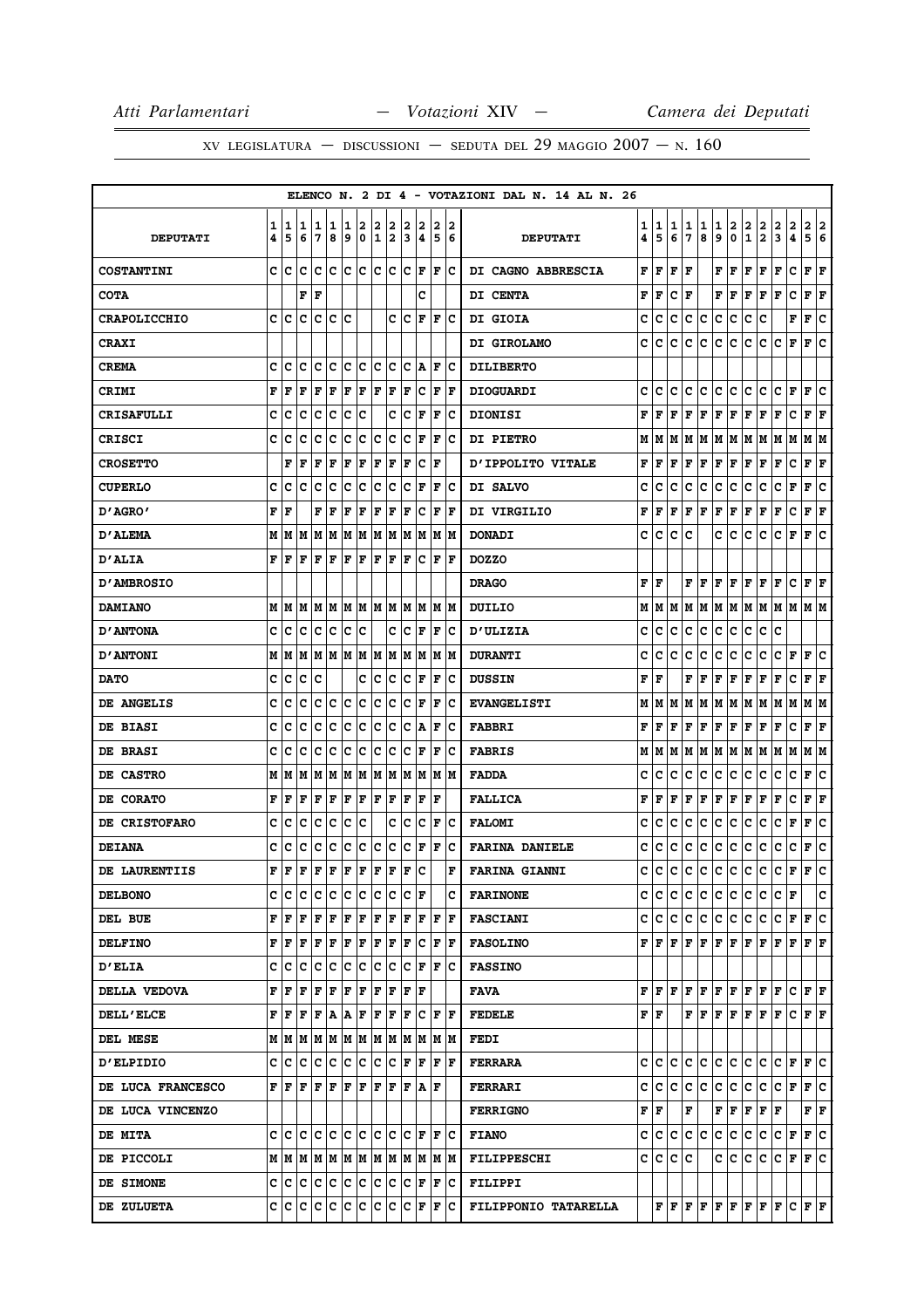|                      |        |        |         |               |        |        |        |                      |        |        |                                                                                                                                                                                                                                    |        |                      | ELENCO N. 2 DI 4 - VOTAZIONI DAL N. 14 AL N. 26 |        |        |        |        |                                 |        |                                                        |                             |                                                                           |                                                                                                                                                                                                                                                                                                                                                                                                                                                                                            |                   |                           |        |
|----------------------|--------|--------|---------|---------------|--------|--------|--------|----------------------|--------|--------|------------------------------------------------------------------------------------------------------------------------------------------------------------------------------------------------------------------------------------|--------|----------------------|-------------------------------------------------|--------|--------|--------|--------|---------------------------------|--------|--------------------------------------------------------|-----------------------------|---------------------------------------------------------------------------|--------------------------------------------------------------------------------------------------------------------------------------------------------------------------------------------------------------------------------------------------------------------------------------------------------------------------------------------------------------------------------------------------------------------------------------------------------------------------------------------|-------------------|---------------------------|--------|
| <b>DEPUTATI</b>      | 1<br>4 | 1<br>5 | 11<br>6 | 1<br>7        | 1<br>8 | 1<br>9 | 2<br>0 | 2<br>1               | 2<br>2 | 2<br>3 | 2<br>4                                                                                                                                                                                                                             | 2<br>5 | 12<br>6              | <b>DEPUTATI</b>                                 | 1<br>4 | 1<br>5 | 1<br>6 | 1<br>7 | 1<br>8                          | 1<br>9 | 2<br>0                                                 | $\mathbf{2}$<br>$\mathbf 1$ | 2<br>$\overline{\mathbf{2}}$                                              | 2<br>3                                                                                                                                                                                                                                                                                                                                                                                                                                                                                     | $\mathbf{2}$<br>4 | $\mathbf{2}$<br>5         | 2<br>6 |
| <b>COSTANTINI</b>    |        | c Ic   | ١c      | lc lc lc lc   |        |        |        | c c                  |        |        | $ {\bf C}  {\bf F} $                                                                                                                                                                                                               | F      | Ιc                   | DI CAGNO ABBRESCIA                              | F      | F      | F      | F      |                                 | F      | F                                                      | F                           | F                                                                         | F                                                                                                                                                                                                                                                                                                                                                                                                                                                                                          | c                 | ${\bf F}$ ${\bf F}$       |        |
| <b>COTA</b>          |        |        | F       | F             |        |        |        |                      |        |        | c                                                                                                                                                                                                                                  |        |                      | <b>DI CENTA</b>                                 | F      | F      | c      | F      |                                 | F      | F                                                      | F                           | F                                                                         | F                                                                                                                                                                                                                                                                                                                                                                                                                                                                                          | c                 | ${\bf F} \mid {\bf F}$    |        |
| <b>CRAPOLICCHIO</b>  | c      | ١c     | ١c      | Iс            | Ιc     | Ιc     |        |                      | c      | Ic     | F                                                                                                                                                                                                                                  | F      | ΙC                   | DI GIOIA                                        | с      | c      | с      | с      | с                               | с      | c                                                      | c                           | c                                                                         |                                                                                                                                                                                                                                                                                                                                                                                                                                                                                            | F                 | F                         | c      |
| <b>CRAXI</b>         |        |        |         |               |        |        |        |                      |        |        |                                                                                                                                                                                                                                    |        |                      | DI GIROLAMO                                     | с      | c      | с      | с      | с                               | c      | c                                                      | c                           | c                                                                         | c                                                                                                                                                                                                                                                                                                                                                                                                                                                                                          | F                 | F                         | ١c     |
| <b>CREMA</b>         | c      | Iс     | с       | c             | Iс     | c      | Iс     | Ιc                   | Iс     | c      | A                                                                                                                                                                                                                                  | F      | ΙC                   | <b>DILIBERTO</b>                                |        |        |        |        |                                 |        |                                                        |                             |                                                                           |                                                                                                                                                                                                                                                                                                                                                                                                                                                                                            |                   |                           |        |
| <b>CRIMI</b>         | F      | l F    | F       | F             | F      | F      | F      | F                    | F      | F      | Ιc                                                                                                                                                                                                                                 | F      | ١F                   | <b>DIOGUARDI</b>                                | c      | c      | с      | с      | с                               | с      | с                                                      | с                           | с                                                                         | с                                                                                                                                                                                                                                                                                                                                                                                                                                                                                          | F                 | F                         | c      |
| <b>CRISAFULLI</b>    | c      | c      | c       | c             | c      | c      | c      |                      | c      | c      | F                                                                                                                                                                                                                                  | F      | Ιc                   | <b>DIONISI</b>                                  | F      | F      | F      | F      | F                               | F      | F                                                      | F                           | F                                                                         | F                                                                                                                                                                                                                                                                                                                                                                                                                                                                                          | c                 | ${\bf F} \mid {\bf F}$    |        |
| <b>CRISCI</b>        | C      | c      | C       | c             | c      | c      | lc.    | Ιc                   | Iс     | c      | F                                                                                                                                                                                                                                  | F      | Ιc                   | <b>DI PIETRO</b>                                | М      | М      | м      | М      | М                               | М      | M                                                      | M                           | M                                                                         | M                                                                                                                                                                                                                                                                                                                                                                                                                                                                                          | М                 | M   M                     |        |
| <b>CROSETTO</b>      |        | F      | ΙF      | F             | F      | F      | F      | F                    | F      | F      | Ιc                                                                                                                                                                                                                                 | ١F     |                      | <b>D'IPPOLITO VITALE</b>                        | F      | F      | F      | F      | F                               | F      | ΙF                                                     | F                           | F                                                                         | F                                                                                                                                                                                                                                                                                                                                                                                                                                                                                          | с                 | ${\bf F} \mid {\bf F}$    |        |
| <b>CUPERLO</b>       | c      | Iс     | Iс      | c             | c      | Ιc     | c      | Iс                   | Iс     | c      | F                                                                                                                                                                                                                                  | F      | ΙC                   | DI SALVO                                        | c      | c      | c      | c      | с                               | c      | с                                                      | c                           | c                                                                         | с                                                                                                                                                                                                                                                                                                                                                                                                                                                                                          | F                 | F                         | c      |
| 0' AGRO -            | F      | ١F     |         | F             | F      | F      | F      | F                    | F      | F      | Iс                                                                                                                                                                                                                                 |        | $ {\bf F}  {\bf F} $ | DI VIRGILIO                                     | F      | F      | F      | F      | F                               | F      | F                                                      | F                           | F                                                                         | F                                                                                                                                                                                                                                                                                                                                                                                                                                                                                          | c                 | ${\bf F} \,   \, {\bf F}$ |        |
| <b>D'ALEMA</b>       | м      | IМ     | lМ      | lМ            | M      | M      | M      | MM                   |        | lМ     | M                                                                                                                                                                                                                                  | lМ     | lМ                   | <b>DONADI</b>                                   | c      | c      | с      | c      |                                 | c      | c                                                      | с                           | c                                                                         | с                                                                                                                                                                                                                                                                                                                                                                                                                                                                                          | F                 | F                         | c      |
| <b>D'ALIA</b>        |        | FF     | F       | lF.           | F      | F      | F      | F                    | F      | F      | Iс                                                                                                                                                                                                                                 | F      | ١F                   | <b>DOZZO</b>                                    |        |        |        |        |                                 |        |                                                        |                             |                                                                           |                                                                                                                                                                                                                                                                                                                                                                                                                                                                                            |                   |                           |        |
| <b>D'AMBROSIO</b>    |        |        |         |               |        |        |        |                      |        |        |                                                                                                                                                                                                                                    |        |                      | <b>DRAGO</b>                                    | F      | F      |        | F      | F                               |        | $\mathbf{F}$ $\mathbf{F}$                              |                             | $F$ $F$ $F$                                                               |                                                                                                                                                                                                                                                                                                                                                                                                                                                                                            | c                 | $\bf{F}$ $\bf{F}$         |        |
| <b>DAMIANO</b>       | M      | lМ     | lМ      | M M           |        | M M    |        | M  M                 |        |        | M M                                                                                                                                                                                                                                |        | IM IM                | DUILIO                                          | М      | М      | М      | М      | М                               | М      | M                                                      | M                           | M                                                                         | M                                                                                                                                                                                                                                                                                                                                                                                                                                                                                          | M   M   M         |                           |        |
| <b>D'ANTONA</b>      | c      | Ιc     | Ιc      | Ιc            | Ιc     | Iс     | Ιc     |                      | c      | Ιc     | F                                                                                                                                                                                                                                  | F      | ΙC                   | <b>D'ULIZIA</b>                                 | c      | c      | с      | c      | с                               | с      | c                                                      | с                           | с                                                                         | с                                                                                                                                                                                                                                                                                                                                                                                                                                                                                          |                   |                           |        |
| <b>D'ANTONI</b>      | м      | lМ     | M       | M   M   M   M |        |        |        | M M                  |        |        | M M                                                                                                                                                                                                                                |        | IM IM                | <b>DURANTI</b>                                  | c      | c      | c      | c      | c                               | c      | с                                                      | c                           | c                                                                         | c                                                                                                                                                                                                                                                                                                                                                                                                                                                                                          | F                 | F                         | c      |
| <b>DATO</b>          | с      | c      | Iс      | Ιc            |        |        | c      | c                    | Iс     | Iс     | F                                                                                                                                                                                                                                  | F      | ΙC                   | <b>DUSSIN</b>                                   | F      | F      |        | F      | F                               | F      | F                                                      | F                           | F                                                                         | F                                                                                                                                                                                                                                                                                                                                                                                                                                                                                          | c                 | F F                       |        |
| DE ANGELIS           | c      | с      | c       | c             | c      | c      | с      | c                    | c      | c      | F                                                                                                                                                                                                                                  | F      | Ιc                   | <b>EVANGELISTI</b>                              | М      | М      | М      | М      | М                               | М      | M                                                      | М                           | lм                                                                        | M                                                                                                                                                                                                                                                                                                                                                                                                                                                                                          | М                 | M   M                     |        |
| <b>DE BIASI</b>      | c      | c      | c       | c             | c      | c      | c      | c                    | c      | c      | A                                                                                                                                                                                                                                  | F      | Ιc                   | <b>FABBRI</b>                                   | F      | F      | F      | F      | F                               |        | $\mathbf{F} \parallel \mathbf{F} \parallel \mathbf{F}$ |                             | F F                                                                       |                                                                                                                                                                                                                                                                                                                                                                                                                                                                                            | c                 | ${\bf F} \,   \, {\bf F}$ |        |
| <b>DE BRASI</b>      | C      | с      | c       | c             | c      | Ιc     | c      | Ιc                   | Iс     | c      | F                                                                                                                                                                                                                                  | F      | Ιc                   | <b>FABRIS</b>                                   | М      | М      | М      | М      | M                               | M   M  |                                                        | M M                         |                                                                           | MM                                                                                                                                                                                                                                                                                                                                                                                                                                                                                         |                   | M  M                      |        |
| <b>DE CASTRO</b>     | М      | M      | lМ      | M             | M      | M      | M      | M M                  |        |        | M M                                                                                                                                                                                                                                | lм     | IМ                   | <b>FADDA</b>                                    | c      | c      | c      | с      | с                               | с      | с                                                      | с                           | с                                                                         | c                                                                                                                                                                                                                                                                                                                                                                                                                                                                                          | c                 | F                         | c      |
| <b>DE CORATO</b>     | F      | F      | F       | F             | F      | F      | F      | F                    | F      | ΙF     | F                                                                                                                                                                                                                                  | ١F     |                      | <b>FALLICA</b>                                  | F      | F      | F      | F      | F                               | F      | F                                                      | F                           | Г                                                                         | г                                                                                                                                                                                                                                                                                                                                                                                                                                                                                          | c                 | ${\bf F} \mid {\bf F}$    |        |
| <b>DE CRISTOFARO</b> | c      | с      | c       | Iс            | c      | Iс     | c      |                      | c      | Iс     | Ιc                                                                                                                                                                                                                                 | F      | ΙC                   | <b>FALOMI</b>                                   | c      | c      | с      | с      | с                               | c      | с                                                      | с                           | с                                                                         | с                                                                                                                                                                                                                                                                                                                                                                                                                                                                                          | F                 | F                         | c      |
| <b>DEIANA</b>        | c      | c      | c       | Iс            | c      | Iс     | c      | Iс                   | Iс     | Iс     | F                                                                                                                                                                                                                                  | F      | Ιc                   | <b>FARINA DANIELE</b>                           | c      | с      | с      | с      | с                               | с      | с                                                      | с                           | с                                                                         | c                                                                                                                                                                                                                                                                                                                                                                                                                                                                                          | с                 | F                         | ∣c     |
| DE LAURENTIIS        | F      | lF     | l F     | lF.           | ΙF     | F      | lF.    | F                    | F      | ΙF     | c                                                                                                                                                                                                                                  |        | F                    | <b>FARINA GIANNI</b>                            | c      | c      | с      | с      | c                               | с      | c                                                      | c                           | c                                                                         | с                                                                                                                                                                                                                                                                                                                                                                                                                                                                                          | F                 | F                         | c      |
| <b>DELBONO</b>       |        | c c    | IC.     | c c           |        | c c    |        | c c                  |        |        | $ {\bf C}  {\bf F} $                                                                                                                                                                                                               |        | c                    | <b>FARINONE</b>                                 |        | c c    | c      |        |                                 |        |                                                        |                             |                                                                           | C C C C C C F                                                                                                                                                                                                                                                                                                                                                                                                                                                                              |                   |                           | c.     |
| DEL BUE              |        | FF     |         |               |        |        |        |                      |        |        |                                                                                                                                                                                                                                    |        |                      | <b>FASCIANI</b>                                 |        | c  c   | c      |        |                                 |        |                                                        |                             |                                                                           | c c c c c c c F F c                                                                                                                                                                                                                                                                                                                                                                                                                                                                        |                   |                           |        |
| <b>DELFINO</b>       |        | FF     | F       | F  F          |        | F      | F      | $ {\bf F}  {\bf F} $ |        |        | F C                                                                                                                                                                                                                                |        | F  F                 | <b>FASOLINO</b>                                 |        |        |        |        |                                 |        |                                                        |                             |                                                                           | ${\bf F}\, \,{\bf F}\, \,{\bf F}\, \,{\bf F}\, \,{\bf F}\, \,{\bf F}\, \,{\bf F}\, \,{\bf F}\, \,{\bf F}\, \,{\bf F}\, \,{\bf F}\, \,{\bf F}\, \,{\bf F}\, \,{\bf F}\, \,$                                                                                                                                                                                                                                                                                                                 |                   |                           |        |
| <b>D'ELIA</b>        |        |        |         |               |        |        |        |                      |        |        | C C C C C C C C C C F F C                                                                                                                                                                                                          |        |                      | <b>FASSINO</b>                                  |        |        |        |        |                                 |        |                                                        |                             |                                                                           |                                                                                                                                                                                                                                                                                                                                                                                                                                                                                            |                   |                           |        |
| <b>DELLA VEDOVA</b>  |        | FF     | l F     | F F           |        |        |        |                      |        |        | F F F F F F                                                                                                                                                                                                                        |        |                      | <b>FAVA</b>                                     |        | F F .  |        |        |                                 |        |                                                        |                             | ${\bf F}$ $\bf [F]$ $\bf [F]$ $\bf [F]$ $\bf [F]$ $\bf [F]$               |                                                                                                                                                                                                                                                                                                                                                                                                                                                                                            | C F F             |                           |        |
| <b>DELL'ELCE</b>     |        |        |         |               |        |        |        |                      |        |        | $\mathbf{F} \left  \mathbf{F} \left  \mathbf{F} \left  \mathbf{F} \left  \mathbf{A} \left  \mathbf{A} \right. \right  \mathbf{F} \left  \mathbf{F} \left  \mathbf{F} \left  \mathbf{F} \right. \right  \mathbf{F} \right. \right $ |        |                      | <b>FEDELE</b>                                   |        | FF     |        |        |                                 |        |                                                        |                             |                                                                           | $\mathbf{F} \left  \mathbf{F} \right. \left  \mathbf{F} \right. \left  \mathbf{F} \right. \left  \mathbf{F} \right. \left  \mathbf{F} \right. \left  \mathbf{F} \right. \left  \mathbf{F} \right. \left  \mathbf{F} \right. \left  \mathbf{F} \right. \left  \mathbf{F} \right. \left  \mathbf{F} \right. \left  \mathbf{F} \right. \left  \mathbf{F} \right. \left  \mathbf{F} \right. \left  \mathbf{F} \right. \left  \mathbf{F} \right. \left  \mathbf{F} \right. \left  \mathbf{F} \$ |                   |                           |        |
| <b>DEL MESE</b>      |        |        |         |               |        |        |        |                      |        |        |                                                                                                                                                                                                                                    |        |                      | FEDI                                            |        |        |        |        |                                 |        |                                                        |                             |                                                                           |                                                                                                                                                                                                                                                                                                                                                                                                                                                                                            |                   |                           |        |
| <b>D'ELPIDIO</b>     |        |        |         |               |        |        |        |                      |        |        | C C C C C C C C C F F F F F                                                                                                                                                                                                        |        |                      | <b>FERRARA</b>                                  |        |        |        |        |                                 |        |                                                        |                             |                                                                           | $C C C C C C C C C C F F C$                                                                                                                                                                                                                                                                                                                                                                                                                                                                |                   |                           |        |
| DE LUCA FRANCESCO    |        |        |         |               |        |        |        |                      |        |        | ${\bf F}\, \,{\bf F}\, \,{\bf F}\, \,{\bf F}\, \,{\bf F}\, \,{\bf F}\, \,{\bf F}\, \,{\bf F}\, \,{\bf F}\, \,{\bf F}\, \,{\bf F}\, \,{\bf F}\, \,$                                                                                 |        |                      | <b>FERRARI</b>                                  |        | c c    | c      |        | $ {\mathbf c}\, {\mathbf c}\, $ |        |                                                        |                             |                                                                           | C  C  C  C  F  F  C                                                                                                                                                                                                                                                                                                                                                                                                                                                                        |                   |                           |        |
| DE LUCA VINCENZO     |        |        |         |               |        |        |        |                      |        |        |                                                                                                                                                                                                                                    |        |                      | <b>FERRIGNO</b>                                 |        | F  F   |        | F      |                                 |        |                                                        |                             | ${\bf F} \,   \, {\bf F} \,   \, {\bf F} \,   \, {\bf F} \,   \, {\bf F}$ |                                                                                                                                                                                                                                                                                                                                                                                                                                                                                            |                   | FF                        |        |
| <b>DE MITA</b>       |        |        |         |               |        |        |        |                      |        |        | C  C  C  C  C  C  C  C  C  C  F  F  C                                                                                                                                                                                              |        |                      | <b>FIANO</b>                                    | c      |        |        |        |                                 |        |                                                        |                             |                                                                           |                                                                                                                                                                                                                                                                                                                                                                                                                                                                                            |                   |                           |        |
| <b>DE PICCOLI</b>    |        |        |         |               |        |        |        |                      |        |        |                                                                                                                                                                                                                                    |        |                      | FILIPPESCHI                                     |        | c Ic   | c      | c      |                                 |        | C C C C                                                |                             |                                                                           | C F F C                                                                                                                                                                                                                                                                                                                                                                                                                                                                                    |                   |                           |        |
| <b>DE SIMONE</b>     |        |        |         |               |        |        |        |                      |        |        | C  C C  C C  C C  C C  C F F C                                                                                                                                                                                                     |        |                      | <b>FILIPPI</b>                                  |        |        |        |        |                                 |        |                                                        |                             |                                                                           |                                                                                                                                                                                                                                                                                                                                                                                                                                                                                            |                   |                           |        |
| <b>DE ZULUETA</b>    |        |        |         |               |        |        |        |                      |        |        | C C C C C C C C C C F F C                                                                                                                                                                                                          |        |                      | FILIPPONIO TATARELLA                            |        |        |        |        |                                 |        |                                                        |                             |                                                                           | ${\bf F}\, \,{\bf F}\, \,{\bf F}\, \,{\bf F}\, \,{\bf F}\, \,{\bf F}\, \,{\bf F}\, \,{\bf F}\, \,{\bf F}\, \,{\bf F}\, \,{\bf F}\, \,{\bf F}\, \,{\bf F}\,$                                                                                                                                                                                                                                                                                                                                |                   |                           |        |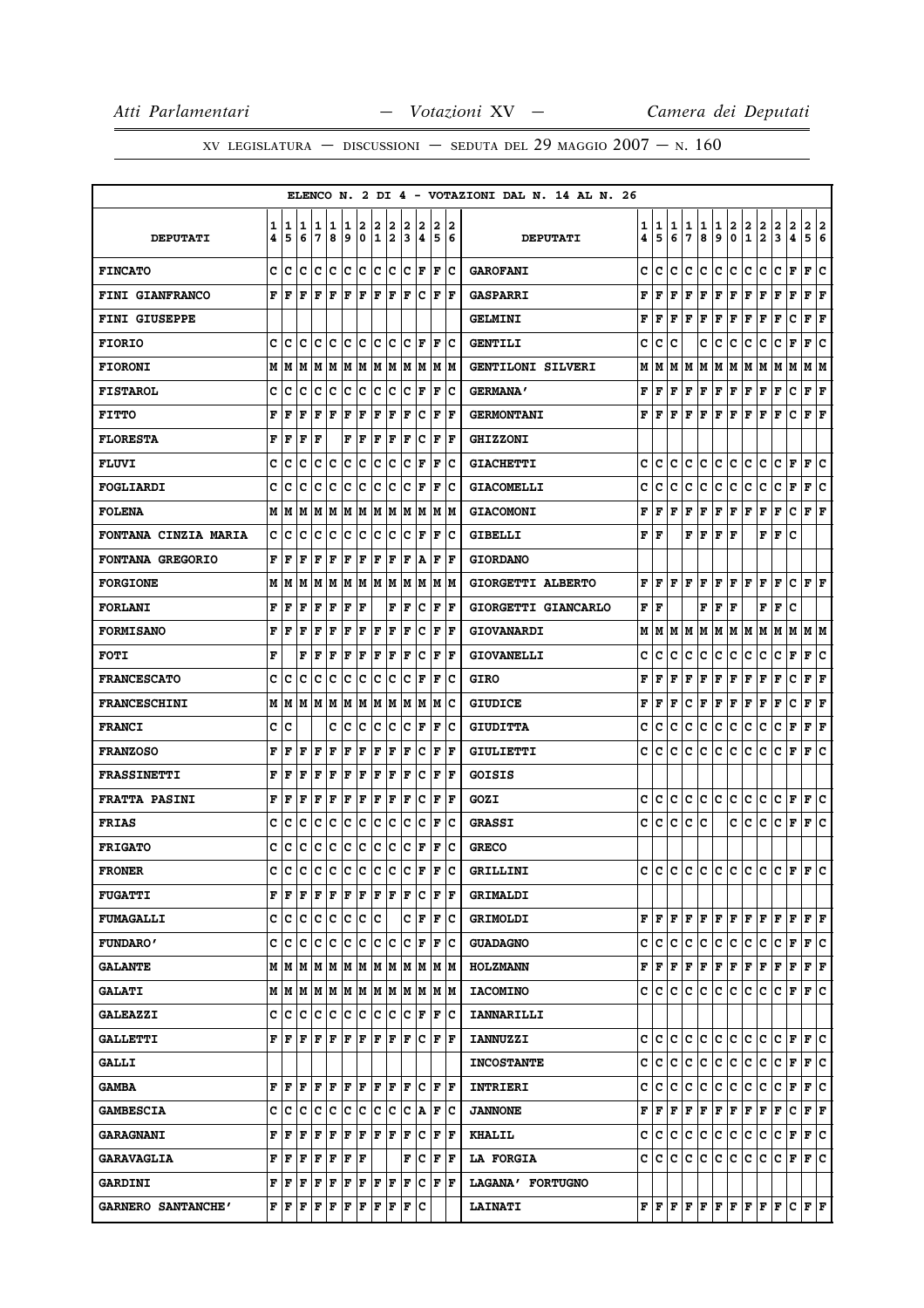|                         |        |        |                   |                 |        |        |                  |                   |        |        |                     |        |                                                                       | ELENCO N. 2 DI 4 - VOTAZIONI DAL N. 14 AL N. 26 |        |                                       |        |              |                |        |         |               |                                                                                        |               |                               |                                             |
|-------------------------|--------|--------|-------------------|-----------------|--------|--------|------------------|-------------------|--------|--------|---------------------|--------|-----------------------------------------------------------------------|-------------------------------------------------|--------|---------------------------------------|--------|--------------|----------------|--------|---------|---------------|----------------------------------------------------------------------------------------|---------------|-------------------------------|---------------------------------------------|
| <b>DEPUTATI</b>         | 1<br>4 | 1<br>5 | 11<br>6           | 1<br>7          | 1<br>8 | 1<br>9 | 2<br>$\mathbf 0$ | 2<br>$\mathbf{1}$ | 2<br>2 | 2<br>3 | 2<br>4              | 2<br>5 | 2<br>6                                                                | <b>DEPUTATI</b>                                 | 1<br>4 | 1<br>5                                | 1<br>6 | 1<br>7       | 1<br>8         | 1<br>9 | 2<br>0  | $\frac{2}{1}$ | $\frac{2}{2}$                                                                          | $\frac{2}{3}$ | 2<br>2<br>4<br>5              | 2<br>6                                      |
| <b>FINCATO</b>          | c      | c      | c                 | Iс              | Ιc     | lc.    | c                | lc.               | ∣c     | lc.    | F                   | lF.    | Ιc                                                                    | <b>GAROFANI</b>                                 | c      | с                                     | c      | c            | c              | c      | c       | c             | c                                                                                      | c             | F<br>F                        | c                                           |
| <b>FINI GIANFRANCO</b>  | F      | F      | F                 | F               | l F    | F      | l F              | ΙF                | F      | ΙF     | c                   | ΙF     | F                                                                     | <b>GASPARRI</b>                                 | F      | F                                     | F      | F            | F              | F      | F       | F             | F                                                                                      | F             | F<br>F                        | ΙF                                          |
| <b>FINI GIUSEPPE</b>    |        |        |                   |                 |        |        |                  |                   |        |        |                     |        |                                                                       | <b>GELMINI</b>                                  | F      | F                                     | F      | F            | F              | F      | F       | F             | F                                                                                      | F             | c<br>F                        | l F                                         |
| <b>FIORIO</b>           | c      | ١c     | ١c                | Iс              | ١c     | Ιc     | ΙC               | c c               |        |        | IC IF               | lF.    | Ιc                                                                    | <b>GENTILI</b>                                  | c      | c                                     | c      |              | с              | c      | с       | c             | с                                                                                      | c             | F<br>F                        | Ιc                                          |
| <b>FIORONI</b>          | М      | lМ     | IМ                | M               | IМ     | lМ     | lМ               |                   | M M    |        | IM IM               |        | IM IM                                                                 | <b>GENTILONI SILVERI</b>                        | М      | м                                     | м      | M            | M              | м      | IМ      | м             | M                                                                                      | M             | м<br>M                        | lМ                                          |
| <b>FISTAROL</b>         | с      | Ιc     | Ιc                | Ιc              | Ιc     | lc.    | ΙC               | c c               |        | Ιc     | F                   | F      | ΙC                                                                    | <b>GERMANA'</b>                                 | F      | F                                     | F      | F            | F              | FF     |         | F             | F                                                                                      | F             | с                             | ${\bf F} \mid {\bf F}$                      |
| <b>FITTO</b>            | F      | F      | F                 | F               | l F    | F      | F                | ΙF                | F      | ΙF     | с                   | F      | F                                                                     | <b>GERMONTANI</b>                               | F      | F                                     | F      | F            | F              | F      | F       | F             | F                                                                                      | F             | c<br>F                        | F                                           |
| <b>FLORESTA</b>         | F      | F      | l F               | F               |        | F      | F                | F                 | F      | ΙF     | c                   | F      | lF                                                                    | <b>GHIZZONI</b>                                 |        |                                       |        |              |                |        |         |               |                                                                                        |               |                               |                                             |
| <b>FLUVI</b>            | c      | c      | c                 | с               | c      | c      | c                | c                 | Iс     | c      | F                   | l F    | Ιc                                                                    | <b>GIACHETTI</b>                                | c      | c                                     | c      | с            | c              | c      | c       | c             | с                                                                                      | c             | F<br>F                        | c                                           |
| <b>FOGLIARDI</b>        | c      | Iс     | c                 | c               | c      | c      | c                | с                 | Iс     | c      | ΙF                  | F      | Ιc                                                                    | <b>GIACOMELLI</b>                               | c      | c                                     | c      | с            | c              | c      | с       | с             | с                                                                                      | c             | F<br>F                        | c                                           |
| <b>FOLENA</b>           | м      | lМ     | lМ                | MM              |        | M M    |                  |                   | M M    |        | M M                 |        | M M                                                                   | <b>GIACOMONI</b>                                | F      | F                                     | F      | F            | F              | F      | F       | F             | F                                                                                      | F             | c                             | ${\bf F} \,   \, {\bf F}$                   |
| FONTANA CINZIA MARIA    | c      | Ιc     | c                 | c               | Iс     | Ιc     | Iс               | Iс                | Iс     | Ιc     | F                   | l F    | Ιc                                                                    | <b>GIBELLI</b>                                  | F      | F                                     |        | F            | F              | F      | F       |               | F                                                                                      | F             | c                             |                                             |
| <b>FONTANA GREGORIO</b> | F      | ١F     | ΙF                | F               | F      | F      | F                | F                 | F      | l F    | ١A                  | F      | ١F                                                                    | <b>GIORDANO</b>                                 |        |                                       |        |              |                |        |         |               |                                                                                        |               |                               |                                             |
| <b>FORGIONE</b>         | M      | lМ     | M                 | lМ              | M      | lМ     | M                | lм                | M      | lМ     | M                   |        | M  M                                                                  | GIORGETTI ALBERTO                               | F      | F                                     | F      | F            | F              | F      | F       | F             | F                                                                                      | F             | c                             | FF                                          |
| <b>FORLANI</b>          | F      | F      | F                 | F               | F      | F      | ΙF               |                   | F      | F      | Ιc                  | F      | l F                                                                   | GIORGETTI GIANCARLO                             | F      | F                                     |        |              | F              | F      | l F     |               | FF                                                                                     |               | C                             |                                             |
| <b>FORMISANO</b>        | F      | F      | l F               | F               | l F    | F      | ΙF               | l F               | F      | l F    | c                   | F      | l F                                                                   | <b>GIOVANARDI</b>                               | М      | М                                     | м      | м            | Μ              | М      | M       | M             | M                                                                                      | M             | м                             | M   M                                       |
| <b>FOTI</b>             | F      |        | F                 | F               | ΙF     | F      | F                | ΙF                | F      | ΙF     | Ιc                  | F      | F                                                                     | <b>GIOVANELLI</b>                               | c      | c                                     | c      | с            | c              | c      | c       | с             | c                                                                                      | c             | F<br>F                        | c                                           |
| <b>FRANCESCATO</b>      | c      | Ιc     | с                 | Iс              | Iс     | Ιc     | Iс               | Ιc                | Iс     | Iс     | F                   | F      | Ιc                                                                    | <b>GIRO</b>                                     | F      | F                                     | F      | F            | F              | F      | F       | F             | F                                                                                      | F             | c                             | ${\bf F} \mid {\bf F}$                      |
| <b>FRANCESCHINI</b>     | М      | lМ     |                   | MMMMM           |        |        | lМ               |                   | M M    |        | M M                 | lМ     | ΙC                                                                    | <b>GIUDICE</b>                                  | F      | F                                     | F      | c            | F              | F      | F       | F             | F                                                                                      | F             | с<br>F                        | l F                                         |
| <b>FRANCI</b>           | с      | Ιc     |                   |                 | c      | Iс     | Iс               | lc.               | Iс     | Iс     | F                   | F      | Ιc                                                                    | <b>GIUDITTA</b>                                 | c      | c                                     | c      | с            | c              | c      | c       | с             | с                                                                                      | с             | F<br>F                        | F                                           |
| <b>FRANZOSO</b>         | F      | F      | F                 | F               | F      | F      | F                | ΙF                | F      | ΙF     | c                   | F      | F                                                                     | GIULIETTI                                       | c      | c                                     | c      | с            | c              | c      | c       | с             | c                                                                                      | с             | F<br>F                        | c                                           |
| <b>FRASSINETTI</b>      | F      | F      | F                 | F               | F      | F      | F                | F                 | F      | ΙF     | Ιc                  | F      | l F                                                                   | GOISIS                                          |        |                                       |        |              |                |        |         |               |                                                                                        |               |                               |                                             |
| <b>FRATTA PASINI</b>    | F      | F      | ΙF                | F               | l F    | F      | F                | F                 | F      | ΙF     | c                   | F      | l F                                                                   | GOZI                                            | c      | c                                     | c      | с            | с              | c      | c       | c             | c                                                                                      | с             | F<br>F                        | c                                           |
| <b>FRIAS</b>            | c      | с      | c                 | c               | c      | Ιc     | c                | c                 | Iс     | C      | c                   | F      | Ιc                                                                    | <b>GRASSI</b>                                   | c      | c                                     | с      | c            | c              |        | c       | c             | c                                                                                      | c             | F<br>F                        | lc.                                         |
| <b>FRIGATO</b>          | c      | c      | c                 | c               | c      | c      | c                | c                 | c      | lc     | F                   | F      | Ιc                                                                    | <b>GRECO</b>                                    |        |                                       |        |              |                |        |         |               |                                                                                        |               |                               |                                             |
| <b>FRONER</b>           | C      | lc     | Ιc                | Ιc              | Ιc     | Ιc     | ١c               | lc                | Iс     | Ιc     | F                   | l F    | Ιc                                                                    | GRILLINI                                        | c      | c                                     | c      | с            | с              | c      | c       | c             | c                                                                                      | с             | F F                           | ١c                                          |
| <b>FUGATTI</b>          | F      | F      | F                 | $F$ $F$ $F$ $F$ |        |        |                  | F F               |        | F      | Ιc                  |        | $ {\bf F}  {\bf F} $                                                  | <b>GRIMALDI</b>                                 |        |                                       |        |              |                |        |         |               |                                                                                        |               |                               |                                             |
| <b>FUMAGALLI</b>        | c      | Iс     | Ιc                | Iс              | c      | c      | c                | ∣c                |        | c      | l F                 |        | F C                                                                   | <b>GRIMOLDI</b>                                 |        | F F.                                  | F      | F            | $\mathbf{F}$ . |        |         |               | $F$ $F$ $F$ $F$ $F$ $F$                                                                |               |                               | FF                                          |
| <b>FUNDARO'</b>         | c      | Ιc     | lc                | Ιc              | c      | c      | c                | c                 | ∣c     | lc.    | F                   | F      | ∣c                                                                    | <b>GUADAGNO</b>                                 | c      | c                                     | c      | c            | c              |        | c c c c |               |                                                                                        |               |                               | $ {\bf C}  {\bf F}  {\bf F}  {\bf C}$       |
| <b>GALANTE</b>          |        |        |                   |                 |        |        |                  |                   |        |        |                     |        | $M$   $M$   $M$   $M$   $M$   $M$   $M$   $M$   $M$   $M$   $M$   $M$ | <b>HOLZMANN</b>                                 | F      | F                                     | F      |              | F F            |        |         |               | F F F F F F                                                                            |               |                               | ${\bf F} \parallel {\bf F}$                 |
| <b>GALATI</b>           |        |        |                   |                 |        |        |                  |                   |        |        |                     |        |                                                                       | <b>IACOMINO</b>                                 | c      | c                                     | c      | c            | c              | c      | lc.     | C             | lc.                                                                                    |               |                               | $C$ $\mathbf{F}$ $\mathbf{F}$ $\mathbf{C}$  |
| <b>GALEAZZI</b>         |        |        |                   |                 |        |        |                  |                   |        |        | C C C C C C C C C F |        | F C                                                                   | <b>IANNARILLI</b>                               |        |                                       |        |              |                |        |         |               |                                                                                        |               |                               |                                             |
| <b>GALLETTI</b>         |        | F F    | lF.               | lF.             | lF.    | lF.    | lF.              | F  F              |        | lF.    |                     |        | C  F  F                                                               | <b>IANNUZZI</b>                                 | c      | с                                     | c      | c            | с              |        | c c     | c             | c                                                                                      |               | $C$ $\mathbf{F}$ $\mathbf{F}$ | lc.                                         |
| <b>GALLI</b>            |        |        |                   |                 |        |        |                  |                   |        |        |                     |        |                                                                       | <b>INCOSTANTE</b>                               | c      | с                                     | с      | с            | c              | c c    |         | c             | c.                                                                                     | c             | F                             | F C                                         |
| <b>GAMBA</b>            | F      | l F    | F                 | F               | ١F     | F      | ١F               | F F               |        | l F    | lc                  |        | le le                                                                 | INTRIERI                                        | c      | c                                     | c      | c            | c              | c c    |         | c             | lc.                                                                                    |               |                               | $ {\tt C}\, {\tt F}\, {\tt F}\, {\tt C}\, $ |
| <b>GAMBESCIA</b>        |        | c c    | lc.               | lc.             | Iс     | lc.    | lc.              | lc.               | Ιc     | Iс     | ΙA                  |        | $ {\bf F} {\bf C}$                                                    | <b>JANNONE</b>                                  | F      | F                                     | F      | F            | $\mathbf{F}$ . |        |         |               | $ {\bf F}\, {\bf F}\, {\bf F}\, {\bf F}\, {\bf F} $                                    |               | c                             | F F                                         |
| <b>GARAGNANI</b>        | F      | F      | F                 | F               | F      | F      | F                | F F               |        | lF.    | Ιc                  |        | F F                                                                   | <b>KHALIL</b>                                   | с      | c                                     | с      | с            | с              | c c    |         | C             | c                                                                                      | C F           |                               | F C                                         |
| <b>GARAVAGLIA</b>       | F      | ١F     | F                 | F F             |        | F      | F                |                   |        | F      | Ιc                  |        | F  F                                                                  | <b>LA FORGIA</b>                                | c      | c                                     | c      | c            | c              | c      | IC.     | c             | c                                                                                      | c             | F<br>F                        | lc.                                         |
| <b>GARDINI</b>          | F      | F      | F                 | F               | ΙF     | F      | F                | F F               |        | lF.    |                     |        | C F F                                                                 | LAGANA' FORTUGNO                                |        |                                       |        |              |                |        |         |               |                                                                                        |               |                               |                                             |
| GARNERO SANTANCHE'      |        | FF     | $\bf  F  F  F  F$ |                 |        |        |                  |                   | F F F  |        | Iс                  |        |                                                                       | <b>LAINATI</b>                                  |        | ${\bf F} \parallel {\bf F} \parallel$ | F      | $\mathbf{F}$ | F              |        |         |               | $\mathbf{F} \left  \mathbf{F} \right  \mathbf{F} \left  \mathbf{F} \right  \mathbf{F}$ |               |                               | C  F  F                                     |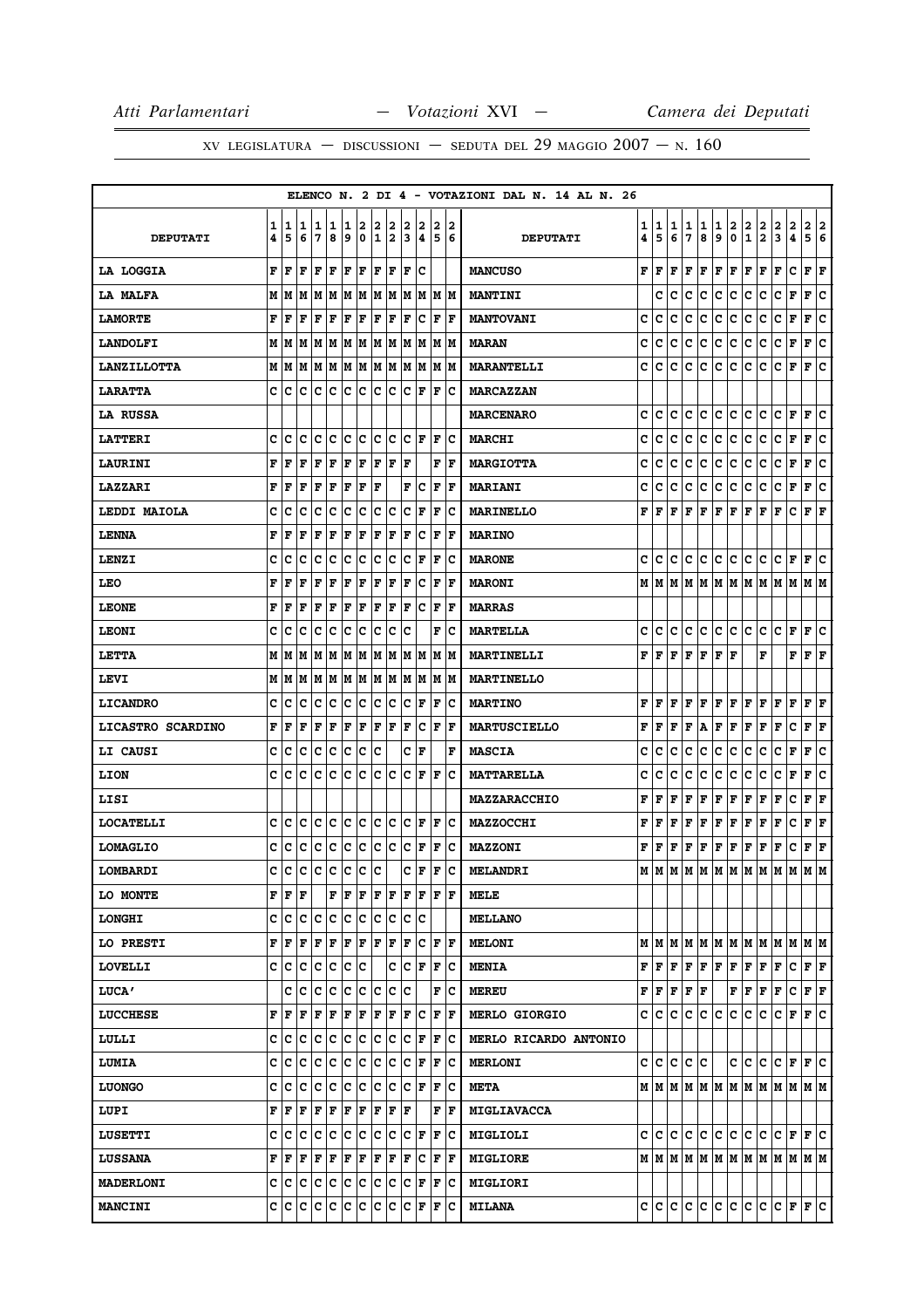|                    |        |                                   |         |         |            |          |        |        |        |        |                           |        |                    | ELENCO N. 2 DI 4 - VOTAZIONI DAL N. 14 AL N. 26 |        |                             |        |        |        |                                     |        |                              |        |                      |             |                                                                             |  |
|--------------------|--------|-----------------------------------|---------|---------|------------|----------|--------|--------|--------|--------|---------------------------|--------|--------------------|-------------------------------------------------|--------|-----------------------------|--------|--------|--------|-------------------------------------|--------|------------------------------|--------|----------------------|-------------|-----------------------------------------------------------------------------|--|
| <b>DEPUTATI</b>    | 1<br>4 | 5                                 | 11<br>6 | 1<br>17 | 1<br>8     | 1<br>و ا | 2<br>0 | 2<br>1 | 2<br>2 | 2<br>3 | 2<br>4                    | 2<br>5 | 12<br>6            | <b>DEPUTATI</b>                                 | 1<br>4 | 1<br>5                      | 1<br>6 | 1<br>7 | 1<br>8 | 1<br>9                              | 2<br>0 | $\mathbf{2}$<br>$\mathbf{1}$ | 2<br>2 | 2<br>3               | 2<br>4      | 2<br> 2<br>5 6                                                              |  |
| <b>LA LOGGIA</b>   | F      | l F                               | l F     | F F     |            | F F      |        | F F    |        | lF.    | lc                        |        |                    | <b>MANCUSO</b>                                  | F      | l F                         | F      | F      | F      | F                                   | F      | F                            | F      | F                    | c           | ${\bf F}$ ${\bf F}$                                                         |  |
| <b>LA MALFA</b>    | М      | lМ                                | M       | lм      |            |          |        |        | MMMMMM |        | M M                       |        | IM IM              | <b>MANTINI</b>                                  |        | C                           | C      | c      | c      | c                                   | c      | c                            | C      | c                    | F           | lc.<br>F                                                                    |  |
| <b>LAMORTE</b>     | F      | F                                 | F       | F       | F          | F        | F      | F      | F      | ΙF     | Ιc                        | F      | lF                 | <b>MANTOVANI</b>                                | c      | c                           | c      | c      | c      | c                                   | c      | с                            | с      | с                    | F           | ١c<br>F                                                                     |  |
| <b>LANDOLFI</b>    |        |                                   |         |         |            |          |        |        |        |        |                           |        | M M                | <b>MARAN</b>                                    | c      | c                           | c      | c      | c      | c                                   | c      | c                            | c      | c                    | F           | F<br> c                                                                     |  |
| <b>LANZILLOTTA</b> |        | MM                                |         |         |            |          |        |        |        |        | M  M  M  M  M  M  M  M  M | M      | lМ                 | <b>MARANTELLI</b>                               | c      | c                           | c      | c      | c      | с                                   | c      | с                            | c      | с                    | F           | F<br>Iс                                                                     |  |
| <b>LARATTA</b>     |        | c Ic                              |         |         |            |          |        | c c    |        | IC.    | F                         | F      | ΙC                 | <b>MARCAZZAN</b>                                |        |                             |        |        |        |                                     |        |                              |        |                      |             |                                                                             |  |
| LA RUSSA           |        |                                   |         |         |            |          |        |        |        |        |                           |        |                    | <b>MARCENARO</b>                                | c      | c                           | c      | c      | c      | с                                   | c      | с                            | c      | с                    | F           | F<br>c                                                                      |  |
| <b>LATTERI</b>     | c      | Iс                                | c       | c       | c          | c        | c      | c      | c      | lc.    | lF.                       | l F    | Ιc                 | <b>MARCHI</b>                                   | c      | c                           | c      | c      | с      | c                                   | c      | c                            | c      | c                    | F           | F C                                                                         |  |
| <b>LAURINI</b>     | F      | F                                 | F       | F       | F          | F        | F      | F      | F      | F      |                           | F      | l F                | <b>MARGIOTTA</b>                                | c      | c                           | c      | c      | с      | c                                   | c      | с                            | c      | c                    | F           | lc.<br>F                                                                    |  |
| LAZZARI            | F      | l F                               | l F     | l F     | F          | F        | F      | l F    |        | F      | Iс                        | F      | l F                | <b>MARIANI</b>                                  | c      | c                           | c      | c      | c      | c                                   | c      | c                            | c      | c                    | F           | F<br>Iс                                                                     |  |
| LEDDI MAIOLA       | c      | c                                 | c       | c       | ∣c         | c        | c      | c      | Iс     | c      | F                         | F      | Ιc                 | <b>MARINELLO</b>                                | F      | F                           | F      | F      | F      | $\mathbf F$                         | F      | F                            | F      | F                    | c           | ${\bf F}$ ${\bf F}$                                                         |  |
| <b>LENNA</b>       | F      | F                                 | F       | F       | F          | F        | F      | F      | F      | F      | c                         | ΙF     | ΙF                 | <b>MARINO</b>                                   |        |                             |        |        |        |                                     |        |                              |        |                      |             |                                                                             |  |
| LENZI              | c      | C                                 | IС      | Iс      | Ιc         | Ιc       | Ιc     | Ιc     | Iс     | c      | F                         | F      | ΙC                 | <b>MARONE</b>                                   | c      | lc.                         | C      | c      | lC.    | c                                   | IC.    | C                            | IС     | C F                  |             | F C                                                                         |  |
| LEO                | F      | F                                 | F       | F       | l F        | ΙF       | l F    | l F    | F      | l F    | c                         | F      | l F                | <b>MARONI</b>                                   | м      | lМ                          | M      | lм     |        | M   M   M   M                       |        |                              |        |                      |             | M  M  M  M                                                                  |  |
| <b>LEONE</b>       | F      | lF                                | F       | F       | F          | F        | F      | F      | F      | lF.    | Iс                        | F      | F                  | <b>MARRAS</b>                                   |        |                             |        |        |        |                                     |        |                              |        |                      |             |                                                                             |  |
| <b>LEONI</b>       | c      | C                                 | IС      | Ιc      | Ιc         | Iс       | Ιc     | Ιc     | Iс     | Iс     |                           | F      | ΙC                 | <b>MARTELLA</b>                                 | c      | с                           | c      | c      | c      | c                                   | c      | C                            | lc.    | c                    | F           | lc.<br>F                                                                    |  |
| <b>LETTA</b>       |        | M   M   M                         |         | lм      | M          | lм       | M      | lм     | lм     | lм     | lМ                        | lм     | lМ                 | MARTINELLI                                      | F      | lF.                         | F      | F      | F      | F                                   | F      |                              | F      |                      | F           | F<br>ΙF                                                                     |  |
| LEVI               |        | M   M   M   M   M   M   M   M   M |         |         |            |          |        |        |        |        | M M                       |        | M M                | <b>MARTINELLO</b>                               |        |                             |        |        |        |                                     |        |                              |        |                      |             |                                                                             |  |
| <b>LICANDRO</b>    | c      | с                                 | c       | Iс      | Iс         | Ιc       | Iс     | Ιc     | c      | c      | F                         | ΙF     | Iс                 | <b>MARTINO</b>                                  | F      | F                           | F      | F      | F      | ΙF                                  | F      | F                            | F      | F                    | F           | F<br>ΙF                                                                     |  |
| LICASTRO SCARDINO  | F      | F                                 | F       | F       | F          | F        | F      | F      | F      | F      | Iс                        | F      | ΙF                 | <b>MARTUSCIELLO</b>                             | F      | F                           | F      | F      | A      | F                                   | F      | F                            | F      | F                    | c           | F F                                                                         |  |
| <b>LI CAUSI</b>    | c      | Iс                                | c       | c       | c          | c        | c      | c      |        | c      | F                         |        | F                  | <b>MASCIA</b>                                   | c      | c                           | c      | c      | с      | c                                   | с      | c                            | c      | c                    | F           | F<br>c                                                                      |  |
| <b>LION</b>        | C      | c                                 | c       | lc      | lc         | Ιc       | lc.    | c      | Iс     | c      | F                         | F      | Ιc                 | <b>MATTARELLA</b>                               | c      | c                           | c      | c      | C      | c                                   | c      | c                            | c      | с                    | F           | F<br>١c                                                                     |  |
| LISI               |        |                                   |         |         |            |          |        |        |        |        |                           |        |                    | <b>MAZZARACCHIO</b>                             | F      | F                           | F      | F      | F      | F                                   | F      | Г                            | F      | F                    | с           | F<br>ŀF                                                                     |  |
| <b>LOCATELLI</b>   | c      | с                                 | с       | Iс      | Ιc         | Ιc       | Ιc     | Iс     | Iс     | Iс     | F                         | F      | ΙC                 | MAZZOCCHI                                       | F      | F                           | F      | F      | F      | $\mathbf F$                         | F      | F                            | F      | F                    | $\mathbf C$ | F<br>F                                                                      |  |
| <b>LOMAGLIO</b>    | c      | c                                 | lc.     | c c     |            | c        | c      | c c    |        | lc.    | F                         | F      | ΙC                 | <b>MAZZONI</b>                                  | F      | F                           | F      | F      | F      | F                                   | F      | F                            | F      | F                    | c           | $ {\bf F}  {\bf F} $                                                        |  |
| LOMBARDI           | C      | lc                                | c       | Ιc      | Iс         | Ιc       | ١c     | lc     |        | с      | l F                       | ΙF     | Ιc                 | <b>MELANDRI</b>                                 | М      | lм                          | M      |        |        | M  M  M  M  M  M                    |        |                              |        | lм                   | M           | IМ<br>lМ                                                                    |  |
| LO MONTE           |        | FF                                | F       |         | F          | F        | F      | F      | F      | F      | F                         | F      | ١F                 | MELE                                            |        |                             |        |        |        |                                     |        |                              |        |                      |             |                                                                             |  |
| <b>LONGHI</b>      | C      | c                                 | lc      | Ιc      | c          | c        | c      | c      | c      | c      | Ιc                        |        |                    | <b>MELLANO</b>                                  |        |                             |        |        |        |                                     |        |                              |        |                      |             |                                                                             |  |
| LO PRESTI          | F      | F                                 | F       | F       | F          | F        | F      | F      | F      | F      | c                         | F      | ١F                 | <b>MELONI</b>                                   |        |                             |        |        |        | $M$ $M$ $M$ $M$ $M$ $M$ $M$ $M$ $M$ |        |                              |        | MM                   |             | M M                                                                         |  |
| <b>LOVELLI</b>     |        | c  c                              | c       | c       | $ {\bf c}$ | c        | Iс     |        | c      | c      | F                         | F      | Iс                 | <b>MENIA</b>                                    | F      | F                           | F      | F F    |        | F F                                 |        | F                            | F      | F                    | c           | F F                                                                         |  |
| <b>LUCA'</b>       |        |                                   | c  c    | Ιc      | c          | c        | c      | c      | Iс     | Iс     |                           | F      | Ιc                 | <b>MEREU</b>                                    |        | ${\bf F}$ $\bf{F}$ $\bf{F}$ |        | F      | F      |                                     | F      | F                            | F      | F                    | c           | $ {\bf F}  {\bf F} $                                                        |  |
| <b>LUCCHESE</b>    | F      | F                                 | F       | F       | ΙF         | F F      |        | F F    |        | F      | Iс                        | F      | ١F                 | <b>MERLO GIORGIO</b>                            |        | c  c  c                     |        | c      | lc.    | lc.                                 | c      | c.                           | c      | c                    |             | F F C                                                                       |  |
| LULLI              | c      | Iс                                | Iс      | Iс      | Iс         | c        | c      | Iс     | c      | c      | F                         | F      | Ιc                 | MERLO RICARDO ANTONIO                           |        |                             |        |        |        |                                     |        |                              |        |                      |             |                                                                             |  |
| LUMIA              | c      | c                                 | c       | Iс      | ∣c         | c        | ∣c     | Iс     | IС     | IС     | F                         | F      | Ιc                 | <b>MERLONI</b>                                  |        | c c c                       |        | c c    |        |                                     | c      | c                            | lc.    |                      |             | C F F C                                                                     |  |
| <b>LUONGO</b>      | c      | c                                 | lc      | Ιc      | lc         | c        | ١c     | Ιc     | Iс     | lc.    | lF                        | F      | Ιc                 | <b>META</b>                                     |        |                             |        |        |        |                                     |        |                              |        |                      |             | $M$   $M$   $M$   $M$   $M$   $M$   $M$   $M$   $M$   $M$   $M$   $M$   $M$ |  |
| LUPI               | F      | F                                 | F       | F       | F          | F        | F      | F      | F      | F      |                           |        | F  F               | <b>MIGLIAVACCA</b>                              |        |                             |        |        |        |                                     |        |                              |        |                      |             |                                                                             |  |
| <b>LUSETTI</b>     |        | c  c                              | IC.     | c c     |            | ∣c       | ∣c     | c      | ∣c     | IC.    | F                         |        | $ {\bf F} {\bf C}$ | <b>MIGLIOLI</b>                                 |        |                             |        |        |        | c c c c c c c c c c                 |        |                              |        | $ {\bf C}  {\bf F} $ |             | F C                                                                         |  |
| <b>LUSSANA</b>     |        | F  F                              | F       | F       | F          | F        | F      | F      | F      | F      | Iс                        | F      | ΙF                 | <b>MIGLIORE</b>                                 |        | MIM                         |        |        |        |                                     |        |                              |        |                      |             |                                                                             |  |
| <b>MADERLONI</b>   |        | c c c c c c c c c c               |         |         |            |          |        |        |        |        | $ {\bf C}  {\bf F} $      | F      | ΙC                 | <b>MIGLIORI</b>                                 |        |                             |        |        |        |                                     |        |                              |        |                      |             |                                                                             |  |
| <b>MANCINI</b>     |        | c  c                              | c c     |         | IС         | c        | с      | c      | IС     | c      | F                         | F      | Iс                 | <b>MILANA</b>                                   |        | c c c                       |        |        |        | c c c c                             |        | c c                          |        |                      |             | $ {\bf C}  {\bf F}  {\bf F}  {\bf C}$                                       |  |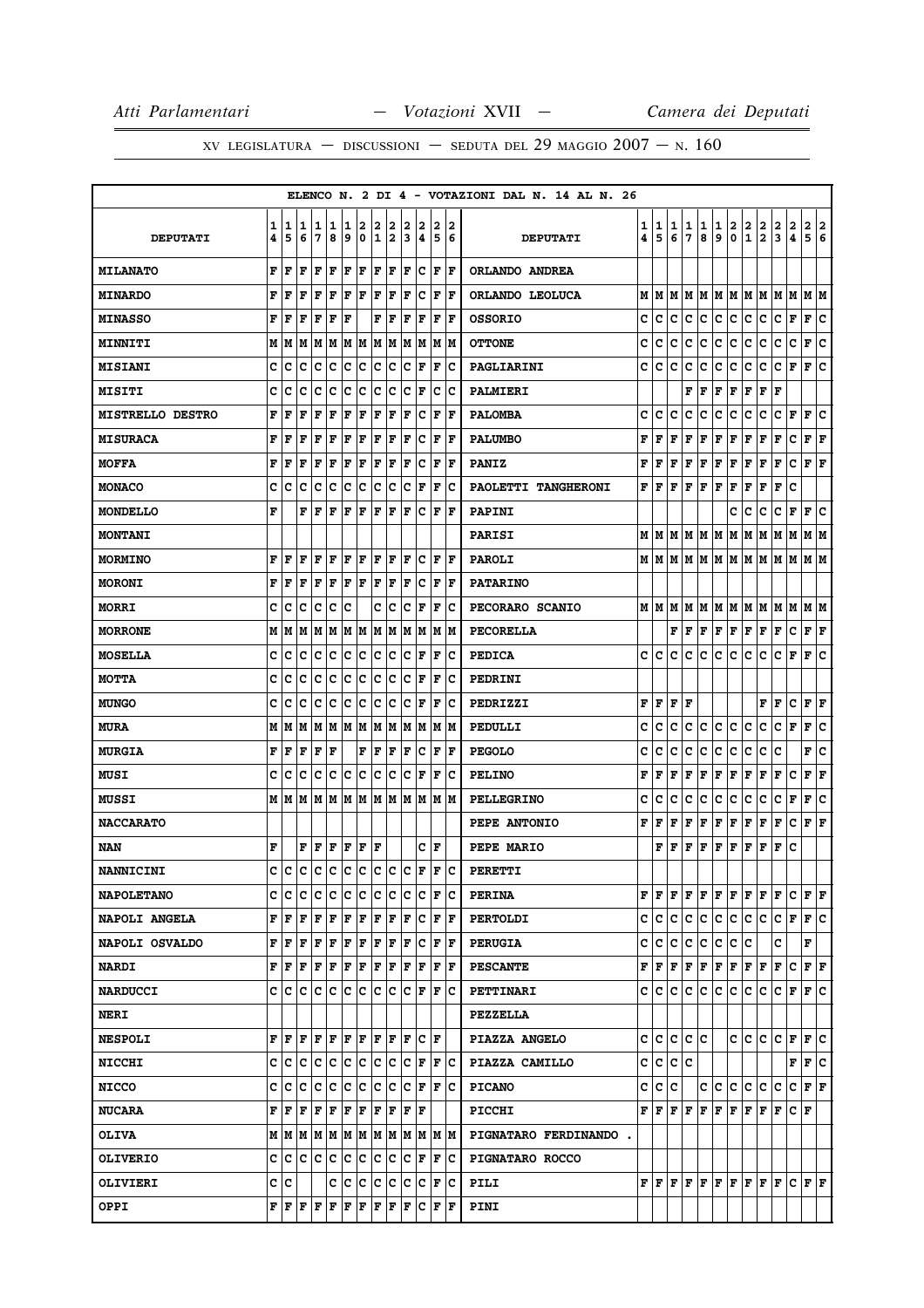|                         |        |         |        |                                                                                                                             |        |        |                  |                   |                     |        |                                                                       |        |                      | ELENCO N. 2 DI 4 - VOTAZIONI DAL N. 14 AL N. 26 |        |                                       |        |        |        |        |         |               |                                                                                                                                                                                                                                                                                                                                                                                                                                                                                            |               |                               |                           |        |
|-------------------------|--------|---------|--------|-----------------------------------------------------------------------------------------------------------------------------|--------|--------|------------------|-------------------|---------------------|--------|-----------------------------------------------------------------------|--------|----------------------|-------------------------------------------------|--------|---------------------------------------|--------|--------|--------|--------|---------|---------------|--------------------------------------------------------------------------------------------------------------------------------------------------------------------------------------------------------------------------------------------------------------------------------------------------------------------------------------------------------------------------------------------------------------------------------------------------------------------------------------------|---------------|-------------------------------|---------------------------|--------|
| <b>DEPUTATI</b>         | 1<br>4 | 1<br>5  | 1<br>6 | 1<br>7                                                                                                                      | 1<br>8 | 1<br>9 | 2<br>$\mathbf 0$ | 2<br>$\mathbf{1}$ | 2<br>12             | 2<br>3 | 2<br>$\overline{\mathbf{4}}$                                          | 2<br>5 | 2<br>6               | <b>DEPUTATI</b>                                 | 1<br>4 | 1<br>5                                | 1<br>6 | 1<br>7 | 1<br>8 | 1<br>9 | 2<br>0  | $\frac{2}{1}$ | $\frac{2}{2}$                                                                                                                                                                                                                                                                                                                                                                                                                                                                              | $\frac{2}{3}$ | $\frac{2}{4}$                 | 2<br>5                    | 2<br>6 |
| <b>MILANATO</b>         | F      | F       | l F    | lF.                                                                                                                         | F      | F      | F                | F                 | F                   | F      | c                                                                     | F      | ١F                   | ORLANDO ANDREA                                  |        |                                       |        |        |        |        |         |               |                                                                                                                                                                                                                                                                                                                                                                                                                                                                                            |               |                               |                           |        |
| <b>MINARDO</b>          | F      | F       | F      | F                                                                                                                           | l F    | F      | l F              | l F               | F                   | l F    | c                                                                     | l F    | F                    | ORLANDO LEOLUCA                                 | М      | M                                     | м      |        |        |        |         |               | MMMMMMMMM                                                                                                                                                                                                                                                                                                                                                                                                                                                                                  |               |                               | M M                       |        |
| <b>MINASSO</b>          | F      | F       | l F    | F                                                                                                                           | F      | F      |                  | F                 | F                   | ΙF     | F                                                                     | F      | F                    | <b>OSSORIO</b>                                  | c      | c                                     | c      | c      | c      | c      | c.      | c             | c                                                                                                                                                                                                                                                                                                                                                                                                                                                                                          | c             | F                             | F                         | c      |
| <b>MINNITI</b>          |        | MM      |        |                                                                                                                             |        |        |                  |                   | M  M  M  M  M  M  M |        | MM                                                                    |        | M M                  | <b>OTTONE</b>                                   | c      | c                                     | с      | с      | с      | с      | с       | с             | с                                                                                                                                                                                                                                                                                                                                                                                                                                                                                          | с             | c                             | F                         | ١c     |
| <b>MISIANI</b>          | c      | с       | c      | Iс                                                                                                                          | Iс     | Ιc     | Iс               | Ιc                | Iс                  | Iс     | F                                                                     | F      | Ιc                   | PAGLIARINI                                      | c      | c                                     | c      | с      | с      | c      | с       | с             | с                                                                                                                                                                                                                                                                                                                                                                                                                                                                                          | c             | F                             | F                         | c      |
| <b>MISITI</b>           | c      | c       | Iс     | Iс                                                                                                                          | Iс     | Ιc     | Ιc               | Ιc                | Iс                  | Iс     | F                                                                     | c      | ΙC                   | <b>PALMIERI</b>                                 |        |                                       |        | F      | F      | F      | F       | F             | F                                                                                                                                                                                                                                                                                                                                                                                                                                                                                          | F             |                               |                           |        |
| <b>MISTRELLO DESTRO</b> | F      | F       | F      | F                                                                                                                           | F      | F      | F                | F                 | F                   | ΙF     | c                                                                     | F      | lF                   | <b>PALOMBA</b>                                  | c      | c                                     | c      | c      | c      | c      | c       | с             | с                                                                                                                                                                                                                                                                                                                                                                                                                                                                                          | c             | F                             | F                         | c      |
| <b>MISURACA</b>         | F      | F       | F      | F                                                                                                                           | F      | F      | F                | F                 | F                   | F      | c                                                                     | F      | lF                   | <b>PALUMBO</b>                                  | F      | F                                     | F      | F      | F      | F      | F       | F             | F                                                                                                                                                                                                                                                                                                                                                                                                                                                                                          | г             | c                             | ${\bf F} \,   \, {\bf F}$ |        |
| <b>MOFFA</b>            | F      | F       | l F    | F                                                                                                                           | F      | F      | F                | F                 | F                   | ΙF     | lc.                                                                   | F      | l F                  | <b>PANIZ</b>                                    | F      | F                                     | F      | F      | F      | FF     |         | F             | F                                                                                                                                                                                                                                                                                                                                                                                                                                                                                          | F             | c                             | ${\bf F}$ ${\bf F}$       |        |
| <b>MONACO</b>           | c      | c       | Iс     | c                                                                                                                           | Iс     | Ιc     | Iс               | c                 | Iс                  | c      | F                                                                     | F      | Ιc                   | PAOLETTI TANGHERONI                             | F      | F                                     | F      | F      | F      | F      | F       | F             | F                                                                                                                                                                                                                                                                                                                                                                                                                                                                                          | F             | c                             |                           |        |
| <b>MONDELLO</b>         | F      |         | F      | l F                                                                                                                         | l F    | F      | F                | F                 | l F                 | F      | Ιc                                                                    | F      | ١F                   | PAPINI                                          |        |                                       |        |        |        |        | с       | с             | с                                                                                                                                                                                                                                                                                                                                                                                                                                                                                          | c             | F                             | F                         | c      |
| <b>MONTANI</b>          |        |         |        |                                                                                                                             |        |        |                  |                   |                     |        |                                                                       |        |                      | <b>PARISI</b>                                   | м      | M                                     | м      | IМ     | M      | M      | M       | М             | M                                                                                                                                                                                                                                                                                                                                                                                                                                                                                          | M             | м                             | M M                       |        |
| <b>MORMINO</b>          | F      | l F     | l F    | ١F                                                                                                                          | ΙF     | F      | ١F               | F  F              |                     | F      | Iс                                                                    | lF.    | ١F                   | <b>PAROLI</b>                                   |        |                                       |        |        |        |        |         |               | $M$   $M$   $M$   $M$   $M$   $M$   $M$   $M$   $M$   $M$   $M$   $M$   $M$                                                                                                                                                                                                                                                                                                                                                                                                                |               |                               |                           |        |
| <b>MORONI</b>           | F      | l F     | F      | F                                                                                                                           | l F    | F      | l F              | F                 | F                   | ΙF     | c                                                                     | F      | lF                   | <b>PATARINO</b>                                 |        |                                       |        |        |        |        |         |               |                                                                                                                                                                                                                                                                                                                                                                                                                                                                                            |               |                               |                           |        |
| <b>MORRI</b>            | c      | c       | c      | c                                                                                                                           | c      | Ιc     |                  | с                 | ∣c                  | lc     | F                                                                     | F      | Ιc                   | PECORARO SCANIO                                 |        | MIM                                   | м      | M      |        |        |         |               | M  M  M  M  M  M  M                                                                                                                                                                                                                                                                                                                                                                                                                                                                        |               |                               | M  M                      |        |
| <b>MORRONE</b>          | М      | M       | lМ     | MM                                                                                                                          |        |        | MM               |                   | MM                  |        | M  M  M  M                                                            |        |                      | PECORELLA                                       |        |                                       | F      | F      | F      |        |         |               | F F F F F                                                                                                                                                                                                                                                                                                                                                                                                                                                                                  |               | c                             | F F                       |        |
| <b>MOSELLA</b>          | c      | c       | c      | Iс                                                                                                                          | Ιc     | Ιc     | Ιc               | Iс                | Iс                  | Iс     | F                                                                     | F      | Ιc                   | <b>PEDICA</b>                                   | c      | c                                     | с      | с      | c      | c      | c       | c             | с                                                                                                                                                                                                                                                                                                                                                                                                                                                                                          | c             | F                             | F                         | c      |
| <b>MOTTA</b>            | c      | с       | Iс     | Iс                                                                                                                          | Iс     | c      | c                | Iс                | Iс                  | Ιc     | F                                                                     | F      | Ιc                   | PEDRINI                                         |        |                                       |        |        |        |        |         |               |                                                                                                                                                                                                                                                                                                                                                                                                                                                                                            |               |                               |                           |        |
| <b>MUNGO</b>            | c      | с       | с      | c                                                                                                                           | Ιc     | Ιc     | Iс               | Iс                | Iс                  | Iс     | F                                                                     | l F    | ΙC                   | PEDRIZZI                                        | F      | F                                     | F      | F      |        |        |         |               | F                                                                                                                                                                                                                                                                                                                                                                                                                                                                                          | F             | с                             | F                         | ΙF     |
| <b>MURA</b>             | М      | M       | M      | M   M   M   M                                                                                                               |        |        |                  |                   | M M                 |        | M M                                                                   |        | M M                  | PEDULLI                                         | c      | c                                     | c      | с      | с      | с      | c       | с             | с                                                                                                                                                                                                                                                                                                                                                                                                                                                                                          | с             | F                             | F                         | ١c     |
| <b>MURGIA</b>           | F      | F       | l F    | F                                                                                                                           | l F    |        | F                | F                 | F                   | F      | c                                                                     | F      | F                    | <b>PEGOLO</b>                                   | c      | c                                     | c      | c      | с      | c      | c       | с             | с                                                                                                                                                                                                                                                                                                                                                                                                                                                                                          | c             |                               | F                         | c      |
| MUSI                    | c      | c       | c      | c                                                                                                                           | c      | c      | c                | c                 | c                   | lc     | F                                                                     | F      | Ιc                   | <b>PELINO</b>                                   | F      | F                                     | F      | F      | F      | F      | F       | F             | Г                                                                                                                                                                                                                                                                                                                                                                                                                                                                                          | г             | с                             | ${\bf F} \mid {\bf F}$    |        |
| <b>MUSSI</b>            |        | M   M   |        |                                                                                                                             |        |        |                  |                   |                     |        | M  M  M  M  M  M  M  M  M  M  M                                       |        |                      | <b>PELLEGRINO</b>                               | c      | c                                     | c      | с      | c      | c      | c       | c             | c                                                                                                                                                                                                                                                                                                                                                                                                                                                                                          | c             | F                             | F                         | c      |
| <b>NACCARATO</b>        |        |         |        |                                                                                                                             |        |        |                  |                   |                     |        |                                                                       |        |                      | PEPE ANTONIO                                    | F      | F                                     | F      | F      | F      | F      | F       | F             | F                                                                                                                                                                                                                                                                                                                                                                                                                                                                                          | F             | с                             | F                         | F      |
| NAN                     | F      |         | F      | F                                                                                                                           | F      | F      | F                | l F               |                     |        | с                                                                     | ١F     |                      | PEPE MARIO                                      |        | F                                     | F      | F      | F      | F      | F       | F             | F                                                                                                                                                                                                                                                                                                                                                                                                                                                                                          | F             | c                             |                           |        |
| <b>NANNICINI</b>        | C      | lc      | ١c     | lc.                                                                                                                         | c c c  |        |                  |                   | c c c               |        | ١F                                                                    | F      | Ιc                   | <b>PERETTI</b>                                  |        |                                       |        |        |        |        |         |               |                                                                                                                                                                                                                                                                                                                                                                                                                                                                                            |               |                               |                           |        |
| <b>NAPOLETANO</b>       | с      | Ιc      | ΙC     | Ιc                                                                                                                          | Iс     | lc.    | Iс               | Ιc                | Iс                  | Ιc     | Iс                                                                    |        | F C                  | <b>PERINA</b>                                   |        | FF                                    | F      |        | F F    |        | F F F F |               |                                                                                                                                                                                                                                                                                                                                                                                                                                                                                            | F             | c                             | F F                       |        |
| <b>NAPOLI ANGELA</b>    | F      | ١F      | l F    | lF.                                                                                                                         | F      | F      | F                | F                 | lF.                 | lF.    | Iс                                                                    | F      | ١F                   | <b>PERTOLDI</b>                                 | c      | с                                     | c      | c      | c      |        | c c     | c             | lc.                                                                                                                                                                                                                                                                                                                                                                                                                                                                                        | c             | F                             | F C                       |        |
| <b>NAPOLI OSVALDO</b>   | F      | ١F      | F      | F                                                                                                                           | F      | F      | F                | F                 | F                   | F      | c                                                                     |        | F  F                 | <b>PERUGIA</b>                                  | c      | c                                     | c      | c      | c      | с      | c       | c             |                                                                                                                                                                                                                                                                                                                                                                                                                                                                                            | c             |                               | F                         |        |
| <b>NARDI</b>            |        | FF      |        | F   F   F   F   F   F                                                                                                       |        |        |                  |                   |                     |        | F F F F                                                               |        |                      | <b>PESCANTE</b>                                 | F      | F                                     | F      |        |        |        |         |               | $\mathbf{F} \left  \mathbf{F} \right. \left  \mathbf{F} \right. \left  \mathbf{F} \right. \left  \mathbf{F} \right. \left  \mathbf{F} \right. \left  \mathbf{F} \right. \left  \mathbf{F} \right.$                                                                                                                                                                                                                                                                                         |               | c                             | F F                       |        |
| <b>NARDUCCI</b>         |        | c Ic    | lc.    | ΙC                                                                                                                          | C C C  |        |                  | c c               |                     |        | C F                                                                   |        | IF IC                | PETTINARI                                       |        | c Ic                                  | c      | c      | c      |        | c c c   |               | IC.                                                                                                                                                                                                                                                                                                                                                                                                                                                                                        |               | $C$ $ F F C$                  |                           |        |
| <b>NERI</b>             |        |         |        |                                                                                                                             |        |        |                  |                   |                     |        |                                                                       |        |                      | <b>PEZZELLA</b>                                 |        |                                       |        |        |        |        |         |               |                                                                                                                                                                                                                                                                                                                                                                                                                                                                                            |               |                               |                           |        |
| <b>NESPOLI</b>          |        | FF      | l F    | le le                                                                                                                       |        | F F    |                  | F F               |                     |        | F C F                                                                 |        |                      | PIAZZA ANGELO                                   | c      | c                                     | c      | c      | c      |        |         | c c           |                                                                                                                                                                                                                                                                                                                                                                                                                                                                                            | C C F         |                               | lF.                       | lc.    |
| <b>NICCHI</b>           |        | c ic ic |        | c c                                                                                                                         |        |        |                  |                   | c c c c             |        | C F F C                                                               |        |                      | PIAZZA CAMILLO                                  | с      | c                                     | c      | c      |        |        |         |               |                                                                                                                                                                                                                                                                                                                                                                                                                                                                                            |               | F F C                         |                           |        |
| <b>NICCO</b>            | c      | Ιc      | ١c     | Iс                                                                                                                          | Ιc     | Ιc     | ١c               | lc.               | Ιc                  | Ιc     | lF.                                                                   | F      | Ιc                   | <b>PICANO</b>                                   | c      | c                                     | c      |        | c      | c      | c.      | c             | c.                                                                                                                                                                                                                                                                                                                                                                                                                                                                                         | c             | c                             | F F                       |        |
| <b>NUCARA</b>           | F      | ١F      | F      | F                                                                                                                           | F      | F      | F                | F                 | F                   | F      | ١F                                                                    |        |                      | <b>PICCHI</b>                                   |        | ${\bf F} \parallel {\bf F} \parallel$ |        |        |        |        |         |               | $\mathbf{F} \left  \mathbf{F} \right. \left  \mathbf{F} \right. \left  \mathbf{F} \right. \left  \mathbf{F} \right. \left  \mathbf{F} \right. \left  \mathbf{F} \right. \left  \mathbf{F} \right. \left  \mathbf{F} \right. \left  \mathbf{F} \right. \left  \mathbf{F} \right. \left  \mathbf{F} \right. \left  \mathbf{F} \right. \left  \mathbf{F} \right. \left  \mathbf{F} \right. \left  \mathbf{F} \right. \left  \mathbf{F} \right. \left  \mathbf{F} \right. \left  \mathbf{F} \$ |               | C F                           |                           |        |
| <b>OLIVA</b>            |        |         |        |                                                                                                                             |        |        |                  |                   |                     |        | $M$   $M$   $M$   $M$   $M$   $M$   $M$   $M$   $M$   $M$   $M$   $M$ |        |                      | PIGNATARO FERDINANDO.                           |        |                                       |        |        |        |        |         |               |                                                                                                                                                                                                                                                                                                                                                                                                                                                                                            |               |                               |                           |        |
| <b>OLIVERIO</b>         |        |         |        | C C C C C C                                                                                                                 |        |        |                  |                   |                     |        | C C C F                                                               |        | F C                  | PIGNATARO ROCCO                                 |        |                                       |        |        |        |        |         |               |                                                                                                                                                                                                                                                                                                                                                                                                                                                                                            |               |                               |                           |        |
| OLIVIERI                |        | c c     |        |                                                                                                                             |        |        |                  |                   |                     |        | C C C C C C F C                                                       |        |                      | PILI                                            |        |                                       |        |        |        |        |         |               | ${\bf F}$ $\bf [F]$ $\bf [F]$ $\bf [F]$ $\bf [F]$ $\bf [F]$ $\bf [F]$ $\bf [F]$                                                                                                                                                                                                                                                                                                                                                                                                            |               | $ {\bf C}  {\bf F}  {\bf F} $ |                           |        |
| <b>OPPI</b>             |        |         |        | $\mathbf{F} \left  \mathbf{F} \right  \mathbf{F} \left  \mathbf{F} \right  \mathbf{F} \left  \mathbf{F} \right  \mathbf{F}$ |        |        |                  | F F               |                     | F      | lc.                                                                   |        | $ {\bf F}  {\bf F} $ | PINI                                            |        |                                       |        |        |        |        |         |               |                                                                                                                                                                                                                                                                                                                                                                                                                                                                                            |               |                               |                           |        |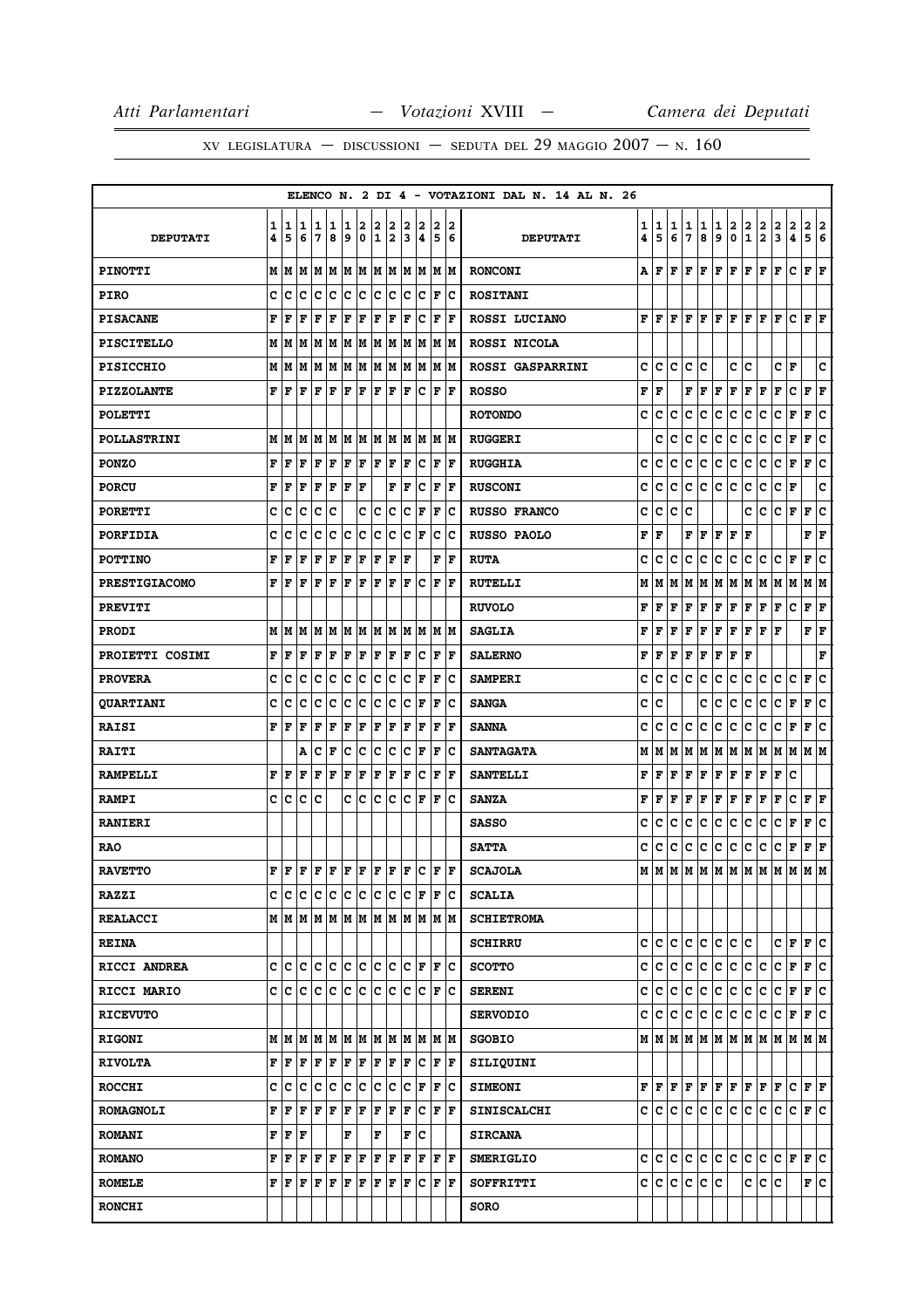|                      |        |                                               |                               |         |        |        |                  |                      |                           |        |                      |                                                |                      | ELENCO N. 2 DI 4 - VOTAZIONI DAL N. 14 AL N. 26 |        |         |        |             |               |                 |          |                                        |                                   |        |                                                                                                                                                                            |                      |     |
|----------------------|--------|-----------------------------------------------|-------------------------------|---------|--------|--------|------------------|----------------------|---------------------------|--------|----------------------|------------------------------------------------|----------------------|-------------------------------------------------|--------|---------|--------|-------------|---------------|-----------------|----------|----------------------------------------|-----------------------------------|--------|----------------------------------------------------------------------------------------------------------------------------------------------------------------------------|----------------------|-----|
| <b>DEPUTATI</b>      | 1<br>4 | 1<br>5                                        | 11<br>6                       | 1<br>7  | 1<br>8 | 1<br>9 | 2<br>$\mathbf 0$ | 2<br>1               | 2<br>2                    | 2<br>3 | 2<br>4               | 2<br>5                                         | 12<br>6              | <b>DEPUTATI</b>                                 | 1<br>4 | 1<br>5  | 1<br>6 | 1<br>7      | 1<br>8        | 1<br>9          | 2<br>0   | $\overline{\mathbf{2}}$<br>$\mathbf 1$ | $\frac{2}{2}$                     | 2<br>3 | $\mathbf{2}$<br>4                                                                                                                                                          | 2 2<br>5 6           |     |
| <b>PINOTTI</b>       |        |                                               |                               |         |        |        |                  |                      |                           |        |                      |                                                |                      | <b>RONCONI</b>                                  | А      | lF.     |        |             |               |                 |          |                                        | F   F   F   F   F   F   F         |        | lc.                                                                                                                                                                        | $ {\bf F}  {\bf F} $ |     |
| <b>PIRO</b>          | c      | c                                             | Ιc                            | Ιc      | Ιc     | lc.    | lc.              | lc.                  | ∣c                        | lc.    | Iс                   | F                                              | Iс                   | <b>ROSITANI</b>                                 |        |         |        |             |               |                 |          |                                        |                                   |        |                                                                                                                                                                            |                      |     |
| <b>PISACANE</b>      | F      | l F                                           | l F                           | F       | l F    | F      | F                | ΙF                   | F                         | F      | Ιc                   | F                                              | lF.                  | ROSSI LUCIANO                                   |        | FF      | F      | F           | F             | F               | F        | F                                      | F                                 | F      | c                                                                                                                                                                          | $\bf{F}$ $\bf{F}$    |     |
| <b>PISCITELLO</b>    |        |                                               |                               |         |        |        |                  |                      |                           |        |                      |                                                |                      | ROSSI NICOLA                                    |        |         |        |             |               |                 |          |                                        |                                   |        |                                                                                                                                                                            |                      |     |
| <b>PISICCHIO</b>     |        | MM                                            |                               |         |        |        |                  |                      | M  M  M  M  M  M  M  M  M |        |                      |                                                | M M                  | <b>ROSSI GASPARRINI</b>                         | c      | с       | c      | c           | с             |                 | c        | c                                      |                                   | c      | F                                                                                                                                                                          |                      | c   |
| <b>PIZZOLANTE</b>    |        | FF                                            | l F                           | lF.     | ΙF     | F F    |                  | F F                  |                           | F      | Ιc                   | F                                              | ١F                   | <b>ROSSO</b>                                    | F      | ١F      |        |             | F  F          | F               | F        | F                                      | F                                 | F      | c                                                                                                                                                                          | $ {\bf F}  {\bf F} $ |     |
| <b>POLETTI</b>       |        |                                               |                               |         |        |        |                  |                      |                           |        |                      |                                                |                      | <b>ROTONDO</b>                                  | c      | c       | c      | c           | с             | c               | c        | с                                      | c                                 | c      | F                                                                                                                                                                          | F                    | c   |
| <b>POLLASTRINI</b>   |        | MM                                            | lм                            | MM      |        |        |                  |                      | M  M  M  M                |        | M M                  |                                                | M M                  | <b>RUGGERI</b>                                  |        | c       | c      | c           | c             | c               | c        | c                                      | c                                 | c      | F                                                                                                                                                                          | F                    | c   |
| <b>PONZO</b>         | F      | l F                                           | F                             | l F     | F      | F      | F                | F                    | F                         | lF.    | Iс                   | F                                              | ١F                   | <b>RUGGHIA</b>                                  | c      | c       | c      | c           | c             | c               | c        | c                                      | c                                 | c      | F                                                                                                                                                                          | F                    | c   |
| <b>PORCU</b>         | F      | l F                                           | F                             | F       | ΙF     | F      | l F              |                      | F                         | F      | lc.                  | F                                              | lF.                  | <b>RUSCONI</b>                                  | c      | c       | c      | $\mathbf c$ | lc.           | lc.             | c        | c                                      | c                                 | c      | F                                                                                                                                                                          |                      | C   |
| <b>PORETTI</b>       | c      | c                                             | Ιc                            | c       | lc     |        | c                | c                    | c                         | c      | F                    | F                                              | Ιc                   | <b>RUSSO FRANCO</b>                             | c      | с       | c      | c           |               |                 |          | c                                      | c                                 | C F    |                                                                                                                                                                            | F                    | lc. |
| <b>PORFIDIA</b>      | c      | c                                             | c                             | c       | c      | Ιc     | c                | c                    | c                         | c      | F                    | с                                              | Ιc                   | <b>RUSSO PAOLO</b>                              | F      | F       |        | F           | F             | F               | F        | F                                      |                                   |        |                                                                                                                                                                            | F                    | F   |
| <b>POTTINO</b>       | F      | l F                                           | F                             | F       | F      | F      | F                | F                    | F                         | F      |                      | F                                              | F                    | <b>RUTA</b>                                     | c      | c       | c      | c           | c             | c               | c        | c                                      | c                                 | c      | F                                                                                                                                                                          | F                    | ١c  |
| <b>PRESTIGIACOMO</b> | F      | l F                                           | l F                           | lF      | ΙF     | l F    | l F              | l F                  | F                         | lF.    | Iс                   | F                                              | F                    | <b>RUTELLI</b>                                  | М      | M       | M      | М           | M             | M               | M        | M M                                    |                                   | MM     |                                                                                                                                                                            | M  M                 |     |
| <b>PREVITI</b>       |        |                                               |                               |         |        |        |                  |                      |                           |        |                      |                                                |                      | <b>RUVOLO</b>                                   | F      | F       | F      | F           | F             | $\mathbf F$     | F        | F                                      | F                                 | F      | c                                                                                                                                                                          | F F                  |     |
| <b>PRODI</b>         |        | MIM                                           | lМ                            | MM      |        |        |                  |                      | MMMM                      |        | M M                  |                                                | IM IM                | <b>SAGLIA</b>                                   | F      | F       | F      | F           | F             | F               | F        | F                                      | F                                 | F      |                                                                                                                                                                            | FF                   |     |
| PROIETTI COSIMI      | F      | l F                                           | F                             | lF.     | ΙF     | F      | F                | F                    | F                         | F      | Iс                   | F                                              | ١F                   | <b>SALERNO</b>                                  | F      | F       | F      | F           | F             | F               | F        | l F                                    |                                   |        |                                                                                                                                                                            |                      | F   |
| <b>PROVERA</b>       | c      | c                                             | Iс                            | ١c      | c      | c      | c                | lc.                  | ∣c                        | lc.    | F                    | F                                              | lc.                  | <b>SAMPERI</b>                                  | c      | c       | c      | c           | c             | $\mathbf{C}$    | c        | c                                      | c                                 | c      | c                                                                                                                                                                          | F                    | ١c  |
| <b>QUARTIANI</b>     | c      | c                                             | c                             | c       | c      | c      | c                | c                    | c                         | c      | F                    | F                                              | Ιc                   | <b>SANGA</b>                                    | c      | c       |        |             | c             | c               | c        | с                                      | c                                 | c      | F                                                                                                                                                                          | F                    | c   |
| <b>RAISI</b>         | F      | l F                                           | F                             | F       | F      | F      | F                | F                    | F                         | F      | F                    | $\mathbf F$                                    | ١F                   | <b>SANNA</b>                                    | c      | c       | c      | с           | c             | c               | c        | c                                      | c                                 | c      | F                                                                                                                                                                          | F                    | ١c  |
| <b>RAITI</b>         |        |                                               | Α                             | c       | l F    | lc.    | lc.              | lc                   | lc                        | lc.    | ΙF                   | F                                              | Ιc                   | <b>SANTAGATA</b>                                | М      | M       | M      | М           | M             | M M             |          | M M                                    |                                   | MM     |                                                                                                                                                                            | M  M                 |     |
| <b>RAMPELLI</b>      | F      | l F                                           | F                             | F       | F      | F      | F                | F                    | F                         | ΙF     | Ιc                   | F                                              | l F                  | <b>SANTELLI</b>                                 | F      | F       | F      | F           | F             | F               | F        | F                                      | F                                 | F      | c                                                                                                                                                                          |                      |     |
| <b>RAMPI</b>         | c      | Iс                                            | lc.                           | lc      |        |        | c c              | lc                   | Iс                        | lc.    | lF.                  | F                                              | ١c                   | <b>SANZA</b>                                    | F      | F       | F      | F           | F             | F               | F        | F                                      | F                                 | F      | c                                                                                                                                                                          | $ {\bf F}  {\bf F} $ |     |
| <b>RANIERI</b>       |        |                                               |                               |         |        |        |                  |                      |                           |        |                      |                                                |                      | <b>SASSO</b>                                    | c      | c       | c      | c           | lc.           | c               | c        | c                                      | c                                 | c      | F                                                                                                                                                                          | F                    | Iс  |
| <b>RAO</b>           |        |                                               |                               |         |        |        |                  |                      |                           |        |                      |                                                |                      | <b>SATTA</b>                                    | c      | с       | c      | с           | c             | c               | c        | c                                      | c                                 | c      | F                                                                                                                                                                          | $ {\bf F}  {\bf F} $ |     |
| <b>RAVETTO</b>       | F      | l F                                           |                               |         |        |        |                  |                      | F F F F F F F F C         |        |                      | F F                                            |                      | <b>SCAJOLA</b>                                  | М      | lм      |        |             |               |                 | MMMMMMMM |                                        |                                   | lм     | M                                                                                                                                                                          | lМ                   | M   |
| <b>RAZZI</b>         |        |                                               | c c c c c c c c c c           |         |        |        |                  |                      |                           |        |                      | $ C $ $\mathbf{F}$ $ \mathbf{F} $ $\mathbf{C}$ |                      | <b>SCALIA</b>                                   |        |         |        |             |               |                 |          |                                        |                                   |        |                                                                                                                                                                            |                      |     |
| <b>REALACCI</b>      |        |                                               |                               |         |        |        |                  |                      |                           |        |                      |                                                |                      | <b>SCHIETROMA</b>                               |        |         |        |             |               |                 |          |                                        |                                   |        |                                                                                                                                                                            |                      |     |
| <b>REINA</b>         |        |                                               |                               |         |        |        |                  |                      |                           |        |                      |                                                |                      | <b>SCHIRRU</b>                                  |        | c  c  c |        |             | c c           |                 | c c c    |                                        |                                   |        | $C$ $ F F C$                                                                                                                                                               |                      |     |
| RICCI ANDREA         |        |                                               |                               |         |        |        |                  |                      |                           |        |                      | c  c  c  c  c  c  c  c  c  c  F  F  c          |                      | <b>SCOTTO</b>                                   |        |         |        |             |               | c c c c c c c c |          | c c                                    |                                   | lc.    | F F C                                                                                                                                                                      |                      |     |
| RICCI MARIO          |        |                                               |                               |         |        |        |                  |                      | c c c c c c c c c c c c c |        |                      | F                                              | ΙC                   | <b>SERENI</b>                                   |        | c  c    | lc.    | lc.         | lc.           | lc.             | lc.      | ∣c∙                                    | lc.                               | с      | F                                                                                                                                                                          | F C                  |     |
| <b>RICEVUTO</b>      |        |                                               |                               |         |        |        |                  |                      |                           |        |                      |                                                |                      | <b>SERVODIO</b>                                 |        |         |        |             | c c c c c     | c c             |          | c c                                    |                                   |        | C F F C                                                                                                                                                                    |                      |     |
| <b>RIGONI</b>        |        |                                               |                               |         |        |        |                  |                      |                           |        |                      | MMMMMMMMMMMMMMM                                |                      | <b>SGOBIO</b>                                   |        |         |        |             |               |                 |          |                                        |                                   |        | MMMMMMMMMMMMMM                                                                                                                                                             |                      |     |
| <b>RIVOLTA</b>       |        |                                               |                               |         |        |        |                  |                      |                           |        | F C                  |                                                | $ {\bf F}  {\bf F} $ | SILIQUINI                                       |        |         |        |             |               |                 |          |                                        |                                   |        |                                                                                                                                                                            |                      |     |
| <b>ROCCHI</b>        |        |                                               | C C C C C C C C C             |         |        |        |                  |                      |                           |        | $ {\bf C}  {\bf F} $ | F                                              | ΙC                   | <b>SIMEONI</b>                                  |        |         |        |             |               |                 |          |                                        |                                   |        | ${\bf F}\, \, {\bf F}\, \, {\bf F}\, \, {\bf F}\, \, {\bf F}\, \, {\bf F}\, \, {\bf F}\, \, {\bf F}\, \, {\bf F}\, \, {\bf F}\, \, {\bf F}\, \, {\bf F}\, \, {\bf F}\, \,$ |                      |     |
| <b>ROMAGNOLI</b>     | F      | ١F                                            | F                             | F F F F |        |        |                  | $ {\bf F}  {\bf F} $ |                           | F      | Iс                   |                                                | F  F                 | <b>SINISCALCHI</b>                              |        |         |        |             |               |                 |          |                                        | c   c   c   c   c   c   c   c   c |        | IC IF IC                                                                                                                                                                   |                      |     |
| <b>ROMANI</b>        |        | ${\bf F} \parallel {\bf F} \parallel {\bf F}$ |                               |         |        | F      |                  | F                    |                           |        | F C                  |                                                |                      | <b>SIRCANA</b>                                  |        |         |        |             |               |                 |          |                                        |                                   |        |                                                                                                                                                                            |                      |     |
| <b>ROMANO</b>        |        | F  F                                          | F                             | lF.     | F      | F F    |                  | $ {\bf F}  {\bf F} $ |                           | F      | F                    | F                                              | ١F                   | <b>SMERIGLIO</b>                                |        |         |        |             | cicicicic     | c c             |          | c.                                     | lc.                               |        | $ C $ F $ F C $                                                                                                                                                            |                      |     |
| <b>ROMELE</b>        |        |                                               | F   F   F   F   F   F   F   F |         |        |        |                  |                      |                           |        | F C                  |                                                | F F                  | SOFFRITTI                                       |        |         |        |             | c c c c c c c |                 |          | c                                      | ∣c.                               | Ιc     |                                                                                                                                                                            | F C                  |     |
| <b>RONCHI</b>        |        |                                               |                               |         |        |        |                  |                      |                           |        |                      |                                                |                      | SORO                                            |        |         |        |             |               |                 |          |                                        |                                   |        |                                                                                                                                                                            |                      |     |